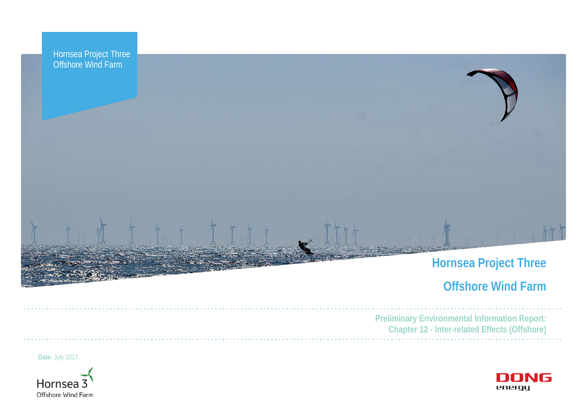

# **Offshore Wind Farm**



**Preliminary Environmental Information Report: Chapter 12 - Inter-related Effects (Offshore)**

**Date:** July 2017

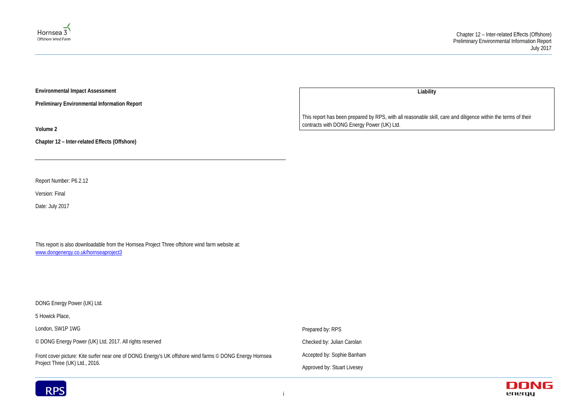



**Environmental Impact Assessment** 

**Preliminary Environmental Information Report**

**Volume 2**

**Chapter 12 – Inter-related Effects (Offshore)**

Report Number: P6.2.12

Version: Final

Date: July 2017

This report is also downloadable from the Hornsea Project Three offshore wind farm website at: [www.dongenergy.co.uk/hornseaproject3](http://www.dongenergy.co.uk/hornseaproject3)

DONG Energy Power (UK) Ltd.

5 Howick Place,

London, SW1P 1WG

© DONG Energy Power (UK) Ltd, 2017. All rights reserved

Front cover picture: Kite surfer near one of DONG Energy's UK offshore wind farms © DONG Energy Hornsea Project Three (UK) Ltd., 2016.

**Liability**

This report has been prepared by RPS, with all reasonable skill, care and diligence within the terms of their contracts with DONG Energy Power (UK) Ltd.

Prepared by: RPS Checked by: Julian Carolan Accepted by: Sophie Banham Approved by: Stuart Livesey

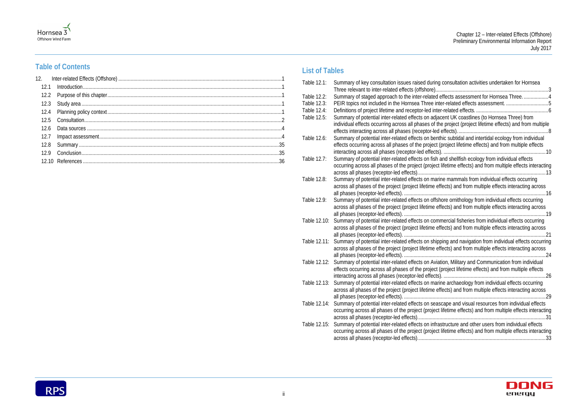| consultation activities undertaken for Hornsea<br>. 3                                                                                                                                                                                                                                                |
|------------------------------------------------------------------------------------------------------------------------------------------------------------------------------------------------------------------------------------------------------------------------------------------------------|
| fects assessment for Hornsea Three4<br>related effects.<br>6<br>ent UK coastlines (to Hornsea Three) from<br>project (project lifetime effects) and from multiple<br>ffects).<br>8<br>c subtidal and intertidal ecology from individual<br>roject lifetime effects) and from multiple effects<br>.10 |
| ad shellfish ecology from individual effects<br>fetime effects) and from multiple effects interacting<br>13                                                                                                                                                                                          |
| e mammals from individual effects occurring<br>cts) and from multiple effects interacting across<br>16                                                                                                                                                                                               |
| re ornithology from individual effects occurring<br>ects) and from multiple effects interacting across<br>19                                                                                                                                                                                         |
| ercial fisheries from individual effects occurring<br>cts) and from multiple effects interacting across<br>21                                                                                                                                                                                        |
| ng and navigation from individual effects occurring<br>ects) and from multiple effects interacting across<br>.24                                                                                                                                                                                     |
| on, Military and Communication from individual<br>roject lifetime effects) and from multiple effects<br>. 26                                                                                                                                                                                         |
| e archaeology from individual effects occurring<br>ects) and from multiple effects interacting across<br>$\dots 29$                                                                                                                                                                                  |
| ape and visual resources from individual effects<br>fetime effects) and from multiple effects interacting<br>.31                                                                                                                                                                                     |
| ructure and other users from individual effects<br>fetime effects) and from multiple effects interacting                                                                                                                                                                                             |



# Hornsea 3

# **Table of Contents**

# **List of Tables**

| Table 12.1:  | Summary of key consultation issues raised during consultation activities undertaken for Hornsea                                                                                                               |
|--------------|---------------------------------------------------------------------------------------------------------------------------------------------------------------------------------------------------------------|
| Table 12.2:  | Summary of staged approach to the inter-related effects assessment for Hornsea Three4                                                                                                                         |
| Table 12.3:  | PEIR topics not included in the Hornsea Three inter-related effects assessment. 5                                                                                                                             |
| Table 12.4:  |                                                                                                                                                                                                               |
| Table 12.5:  | Summary of potential inter-related effects on adjacent UK coastlines (to Hornsea Three) from                                                                                                                  |
|              | individual effects occurring across all phases of the project (project lifetime effects) and from multiple                                                                                                    |
|              |                                                                                                                                                                                                               |
| Table 12.6:  | Summary of potential inter-related effects on benthic subtidal and intertidal ecology from individual                                                                                                         |
|              | effects occurring across all phases of the project (project lifetime effects) and from multiple effects                                                                                                       |
|              |                                                                                                                                                                                                               |
| Table 12.7:  | Summary of potential inter-related effects on fish and shellfish ecology from individual effects                                                                                                              |
|              | occurring across all phases of the project (project lifetime effects) and from multiple effects interacting                                                                                                   |
|              |                                                                                                                                                                                                               |
| Table 12.8:  | Summary of potential inter-related effects on marine mammals from individual effects occurring                                                                                                                |
|              | across all phases of the project (project lifetime effects) and from multiple effects interacting across                                                                                                      |
|              |                                                                                                                                                                                                               |
| Table 12.9:  | Summary of potential inter-related effects on offshore ornithology from individual effects occurring                                                                                                          |
|              | across all phases of the project (project lifetime effects) and from multiple effects interacting across                                                                                                      |
|              |                                                                                                                                                                                                               |
| Table 12.10: | Summary of potential inter-related effects on commercial fisheries from individual effects occurring                                                                                                          |
|              | across all phases of the project (project lifetime effects) and from multiple effects interacting across                                                                                                      |
|              |                                                                                                                                                                                                               |
| Table 12.11: | Summary of potential inter-related effects on shipping and navigation from individual effects occurring                                                                                                       |
|              | across all phases of the project (project lifetime effects) and from multiple effects interacting across                                                                                                      |
| Table 12.12: |                                                                                                                                                                                                               |
|              | Summary of potential inter-related effects on Aviation, Military and Communication from individual<br>effects occurring across all phases of the project (project lifetime effects) and from multiple effects |
|              |                                                                                                                                                                                                               |
|              | Table 12.13: Summary of potential inter-related effects on marine archaeology from individual effects occurring                                                                                               |
|              | across all phases of the project (project lifetime effects) and from multiple effects interacting across                                                                                                      |
|              | 29                                                                                                                                                                                                            |
| Table 12.14: | Summary of potential inter-related effects on seascape and visual resources from individual effects                                                                                                           |
|              | occurring across all phases of the project (project lifetime effects) and from multiple effects interacting                                                                                                   |
|              |                                                                                                                                                                                                               |
| Table 12.15: | Summary of potential inter-related effects on infrastructure and other users from individual effects                                                                                                          |
|              | occurring across all phases of the project (project lifetime effects) and from multiple effects interacting                                                                                                   |
|              |                                                                                                                                                                                                               |
|              |                                                                                                                                                                                                               |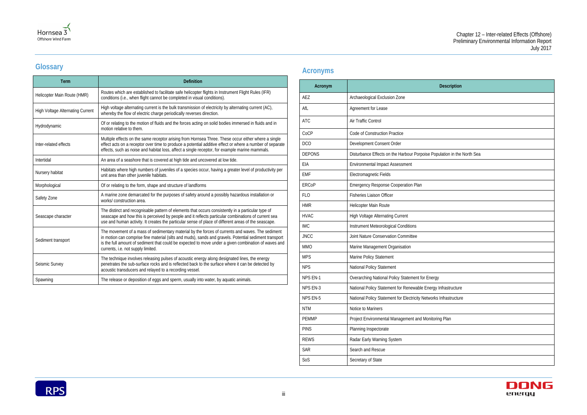| scription             |
|-----------------------|
|                       |
|                       |
|                       |
|                       |
|                       |
| tion in the North Sea |
|                       |
|                       |
|                       |
|                       |
|                       |
|                       |
|                       |
|                       |
|                       |
|                       |
|                       |
|                       |
| astructure            |
| rastructure           |
|                       |
| $\mathsf{P}$ lan      |
|                       |
|                       |
|                       |
|                       |





# **Glossary**

| <b>Term</b>                             | <b>Definition</b>                                                                                                                                                                                                                                                                                                                                        |
|-----------------------------------------|----------------------------------------------------------------------------------------------------------------------------------------------------------------------------------------------------------------------------------------------------------------------------------------------------------------------------------------------------------|
| Helicopter Main Route (HMR)             | Routes which are established to facilitate safe helicopter flights in Instrument Flight Rules (IFR)<br>conditions (i.e., when flight cannot be completed in visual conditions).                                                                                                                                                                          |
| <b>High Voltage Alternating Current</b> | High voltage alternating current is the bulk transmission of electricity by alternating current (AC),<br>whereby the flow of electric charge periodically reverses direction.                                                                                                                                                                            |
| Hydrodynamic                            | Of or relating to the motion of fluids and the forces acting on solid bodies immersed in fluids and in<br>motion relative to them.                                                                                                                                                                                                                       |
| Inter-related effects                   | Multiple effects on the same receptor arising from Hornsea Three. These occur either where a single<br>effect acts on a receptor over time to produce a potential additive effect or where a number of separate<br>effects, such as noise and habitat loss, affect a single receptor, for example marine mammals.                                        |
| Intertidal                              | An area of a seashore that is covered at high tide and uncovered at low tide.                                                                                                                                                                                                                                                                            |
| Nursery habitat                         | Habitats where high numbers of juveniles of a species occur, having a greater level of productivity per<br>unit area than other juvenile habitats.                                                                                                                                                                                                       |
| Morphological                           | Of or relating to the form, shape and structure of landforms                                                                                                                                                                                                                                                                                             |
| Safety Zone                             | A marine zone demarcated for the purposes of safety around a possibly hazardous installation or<br>works/construction area.                                                                                                                                                                                                                              |
| Seascape character                      | The distinct and recognisable pattern of elements that occurs consistently in a particular type of<br>seascape and how this is perceived by people and it reflects particular combinations of current sea<br>use and human activity. It creates the particular sense of place of different areas of the seascape.                                        |
| Sediment transport                      | The movement of a mass of sedimentary material by the forces of currents and waves. The sediment<br>in motion can comprise fine material (silts and muds), sands and gravels. Potential sediment transport<br>is the full amount of sediment that could be expected to move under a given combination of waves and<br>currents, i.e. not supply limited. |
| Seismic Survey                          | The technique involves releasing pulses of acoustic energy along designated lines, the energy<br>penetrates the sub-surface rocks and is reflected back to the surface where it can be detected by<br>acoustic transducers and relayed to a recording vessel.                                                                                            |
| Spawning                                | The release or deposition of eggs and sperm, usually into water, by aquatic animals.                                                                                                                                                                                                                                                                     |

# **Acronyms**

| Acronym       | <b>Description</b>                                                      |
|---------------|-------------------------------------------------------------------------|
| AEZ           | Archaeological Exclusion Zone                                           |
| AfL           | Agreement for Lease                                                     |
| <b>ATC</b>    | Air Traffic Control                                                     |
| CoCP          | Code of Construction Practice                                           |
| <b>DCO</b>    | Development Consent Order                                               |
| <b>DEPONS</b> | Disturbance Effects on the Harbour Porpoise Population in the North Sea |
| EIA           | <b>Environmental Impact Assessment</b>                                  |
| <b>EMF</b>    | Electromagnetic Fields                                                  |
| <b>ERCoP</b>  | <b>Emergency Response Cooperation Plan</b>                              |
| <b>FLO</b>    | <b>Fisheries Liaison Officer</b>                                        |
| <b>HMR</b>    | Helicopter Main Route                                                   |
| <b>HVAC</b>   | <b>High Voltage Alternating Current</b>                                 |
| <b>IMC</b>    | Instrument Meteorological Conditions                                    |
| <b>JNCC</b>   | Joint Nature Conservation Committee                                     |
| <b>MMO</b>    | Marine Management Organisation                                          |
| <b>MPS</b>    | Marine Policy Statement                                                 |
| <b>NPS</b>    | National Policy Statement                                               |
| NPS EN-1      | Overarching National Policy Statement for Energy                        |
| NPS EN-3      | National Policy Statement for Renewable Energy Infrastructure           |
| NPS EN-5      | National Policy Statement for Electricity Networks Infrastructure       |
| <b>NTM</b>    | Notice to Mariners                                                      |
| <b>PEMMP</b>  | Project Environmental Management and Monitoring Plan                    |
| <b>PINS</b>   | Planning Inspectorate                                                   |
| <b>REWS</b>   | Radar Early Warning System                                              |
| <b>SAR</b>    | Search and Rescue                                                       |
| SoS           | Secretary of State                                                      |
|               |                                                                         |

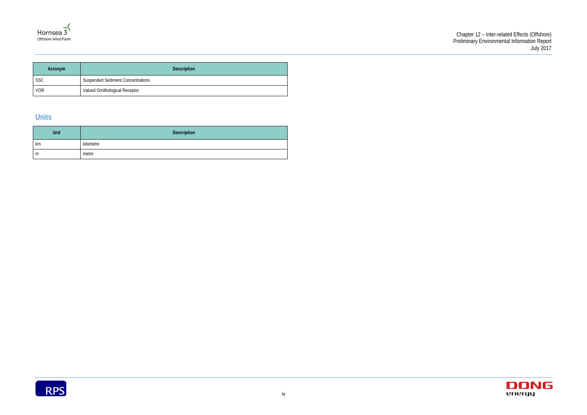



| <b>Acronym</b> | <b>Description</b>                       |  |
|----------------|------------------------------------------|--|
| <b>SSC</b>     | <b>Suspended Sediment Concentrations</b> |  |
| <b>VOR</b>     | Valued Ornithological Receptor           |  |

# **Units**

| Unit | <b>Description</b> |
|------|--------------------|
| km   | kilometre          |
| m    | metre              |

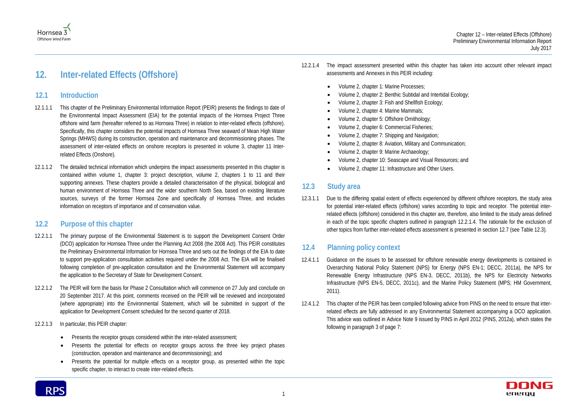



# <span id="page-5-0"></span>**12. Inter-related Effects (Offshore)**

### <span id="page-5-1"></span>**12.1 Introduction**

- 12.1.1.1 This chapter of the Preliminary Environmental Information Report (PEIR) presents the findings to date of the Environmental Impact Assessment (EIA) for the potential impacts of the Hornsea Project Three offshore wind farm (hereafter referred to as Hornsea Three) in relation to inter-related effects (offshore). Specifically, this chapter considers the potential impacts of Hornsea Three seaward of Mean High Water Springs (MHWS) during its construction, operation and maintenance and decommissioning phases. The assessment of inter-related effects on onshore receptors is presented in volume 3, chapter 11 Interrelated Effects (Onshore).
- 12.1.1.2 The detailed technical information which underpins the impact assessments presented in this chapter is contained within volume 1, chapter 3: project description, volume 2, chapters 1 to 11 and their supporting annexes. These chapters provide a detailed characterisation of the physical, biological and human environment of Hornsea Three and the wider southern North Sea, based on existing literature sources, surveys of the former Hornsea Zone and specifically of Hornsea Three, and includes information on receptors of importance and of conservation value.

# <span id="page-5-2"></span>**12.2 Purpose of this chapter**

- 12.2.1.1 The primary purpose of the Environmental Statement is to support the Development Consent Order (DCO) application for Hornsea Three under the Planning Act 2008 (the 2008 Act). This PEIR constitutes the Preliminary Environmental Information for Hornsea Three and sets out the findings of the EIA to date to support pre-application consultation activities required under the 2008 Act. The EIA will be finalised following completion of pre-application consultation and the Environmental Statement will accompany the application to the Secretary of State for Development Consent.
- 12.2.1.2 The PEIR will form the basis for Phase 2 Consultation which will commence on 27 July and conclude on 20 September 2017. At this point, comments received on the PEIR will be reviewed and incorporated (where appropriate) into the Environmental Statement, which will be submitted in support of the application for Development Consent scheduled for the second quarter of 2018.
- 12.2.1.3 In particular, this PEIR chapter:
	- Presents the receptor groups considered within the inter-related assessment;
	- Presents the potential for effects on receptor groups across the three key project phases (construction, operation and maintenance and decommissioning); and
	- Presents the potential for multiple effects on a receptor group, as presented within the topic specific chapter, to interact to create inter-related effects.

<span id="page-5-5"></span>

- Volume 2, chapter 1: Marine Processes;
- Volume 2, chapter 2: Benthic Subtidal and Intertidal Ecology;
- Volume 2, chapter 3: Fish and Shellfish Ecology;
- Volume 2, chapter 4: Marine Mammals;
- Volume 2, chapter 5: Offshore Ornithology;
- Volume 2, chapter 6: Commercial Fisheries;
- Volume 2, chapter 7: Shipping and Navigation;
- Volume 2, chapter 8: Aviation, Military and Communication;
- Volume 2, chapter 9: Marine Archaeology;
- Volume 2, chapter 10: Seascape and Visual Resources; and
- Volume 2, chapter 11: Infrastructure and Other Users.

# <span id="page-5-3"></span>**12.3 Study area**

12.3.1.1 Due to the differing spatial extent of effects experienced by different offshore receptors, the study area for potential inter-related effects (offshore) varies according to topic and receptor. The potential interrelated effects (offshore) considered in this chapter are, therefore, also limited to the study areas defined in each of the topic specific chapters outlined in paragraph [12.2.1.4.](#page-5-5) The rationale for the exclusion of other topics from further inter-related effects assessment is presented in section [12.7](#page-8-1) (see Table 12.3).

# <span id="page-5-4"></span>**12.4 Planning policy context**

- 12.4.1.1 Guidance on the issues to be assessed for offshore renewable energy developments is contained in Overarching National Policy Statement (NPS) for Energy (NPS EN-1; DECC, 2011a), the NPS for Renewable Energy Infrastructure (NPS EN-3, DECC, 2011b), the NPS for Electricity Networks Infrastructure (NPS EN-5, DECC, 2011c), and the Marine Policy Statement (MPS; HM Government, 2011).
- 12.4.1.2 This chapter of the PEIR has been compiled following advice from PINS on the need to ensure that interrelated effects are fully addressed in any Environmental Statement accompanying a DCO application. This advice was outlined in Advice Note 9 issued by PINS in April 2012 (PINS, 2012a), which states the following in paragraph 3 of page 7:

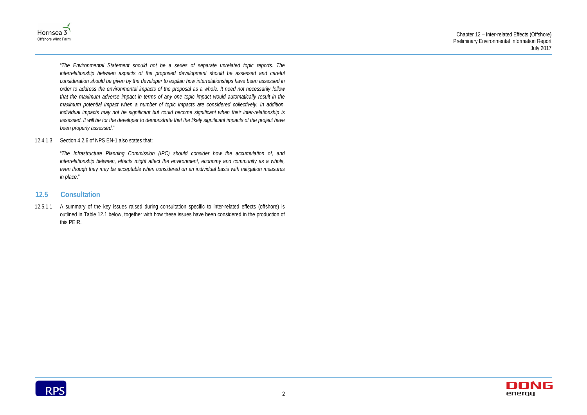



"*The Environmental Statement should not be a series of separate unrelated topic reports. The interrelationship between aspects of the proposed development should be assessed and careful consideration should be given by the developer to explain how interrelationships have been assessed in order to address the environmental impacts of the proposal as a whole. It need not necessarily follow that the maximum adverse impact in terms of any one topic impact would automatically result in the maximum potential impact when a number of topic impacts are considered collectively. In addition, individual impacts may not be significant but could become significant when their inter-relationship is assessed. It will be for the developer to demonstrate that the likely significant impacts of the project have been properly assessed*."

#### 12.4.1.3 Section 4.2.6 of NPS EN-1 also states that:

"*The Infrastructure Planning Commission (IPC) should consider how the accumulation of, and interrelationship between, effects might affect the environment, economy and community as a whole, even though they may be acceptable when considered on an individual basis with mitigation measures in place*."

# <span id="page-6-0"></span>**12.5 Consultation**

12.5.1.1 A summary of the key issues raised during consultation specific to inter-related effects (offshore) is outlined in [Table 12.1](#page-7-0) below, together with how these issues have been considered in the production of this PEIR.

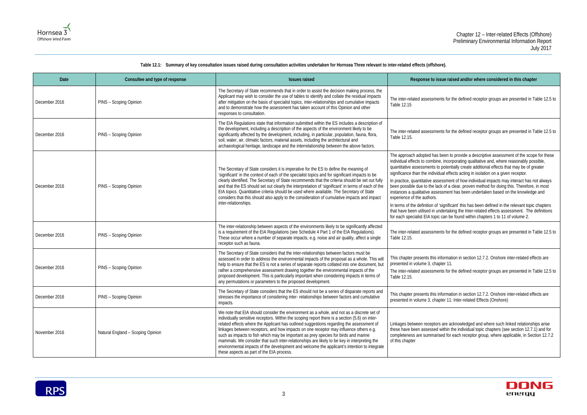**e raised and/or where considered in this chapter** 

ts for the defined receptor groups are presented in [Table 12.5](#page-12-0) to

ts for the defined receptor groups are presented in [Table 12.5](#page-12-0) to

een to provide a descriptive assessment of the scope for these incorporating qualitative and, where reasonably possible, potentially create additional effects that may be of greater al effects acting in isolation on a given receptor.

In practice assessment of how individual impacts may interact has not always  $\kappa$  of a clear, proven method for doing this. Therefore, in most sment has been undertaken based on the knowledge and

ignificant' this has been defined in the relevant topic chapters lertaking the Inter-related effects assessment. The definitions can be found within chapters 1 to 11 of volume 2.

the defined receptor groups are presented in [Table 12.5](#page-12-0) to

ormation in section 12.7.2. Onshore inter-related effects are ter 11.

ts for the defined receptor groups are presented in [Table 12.5](#page-12-0) to

ormation in section 12.7.2. Onshore inter-related effects are ter 11: Inter-related Effects (Onshore)

are acknowledged and where such linked relationships arise ithin the individual topic chapters (see section 12.7.1) and for ed for each receptor group, where applicable, in Section 12.7.2



#### **Table 12.1: Summary of key consultation issues raised during consultation activities undertaken for Hornsea Three relevant to inter-related effects (offshore).**

<span id="page-7-0"></span>

| Date          | Consultee and type of response    | <b>Issues raised</b>                                                                                                                                                                                                                                                                                                                                                                                                                                                                                                                                                                                                                                                                                               | Response to issu                                                                                                                                                                                                                                                                                                                                                                |
|---------------|-----------------------------------|--------------------------------------------------------------------------------------------------------------------------------------------------------------------------------------------------------------------------------------------------------------------------------------------------------------------------------------------------------------------------------------------------------------------------------------------------------------------------------------------------------------------------------------------------------------------------------------------------------------------------------------------------------------------------------------------------------------------|---------------------------------------------------------------------------------------------------------------------------------------------------------------------------------------------------------------------------------------------------------------------------------------------------------------------------------------------------------------------------------|
| December 2016 | PINS - Scoping Opinion            | The Secretary of State recommends that in order to assist the decision making process, the<br>Applicant may wish to consider the use of tables to identify and collate the residual impacts<br>after mitigation on the basis of specialist topics, inter-relationships and cumulative impacts<br>and to demonstrate how the assessment has taken account of this Opinion and other<br>responses to consultation.                                                                                                                                                                                                                                                                                                   | The inter-related assessments<br>Table 12.15                                                                                                                                                                                                                                                                                                                                    |
| December 2016 | PINS - Scoping Opinion            | The EIA Regulations state that information submitted within the ES includes a description of<br>the development, including a description of the aspects of the environment likely to be<br>significantly affected by the development, including, in particular, population, fauna, flora,<br>soil, water, air, climatic factors, material assets, including the architectural and<br>archaeological heritage, landscape and the interrelationship between the above factors.                                                                                                                                                                                                                                       | The inter-related assessments<br>Table 12.15.                                                                                                                                                                                                                                                                                                                                   |
| December 2016 | PINS - Scoping Opinion            | The Secretary of State considers it is imperative for the ES to define the meaning of<br>'significant' in the context of each of the specialist topics and for significant impacts to be<br>clearly identified. The Secretary of State recommends that the criteria should be set out fully<br>and that the ES should set out clearly the interpretation of 'significant' in terms of each of the<br>EIA topics. Quantitative criteria should be used where available. The Secretary of State<br>considers that this should also apply to the consideration of cumulative impacts and impact<br>inter-relationships.                                                                                               | The approach adopted has be<br>individual effects to combine,<br>quantitative assessments to p<br>significance than the individua<br>In practice, quantitative asses<br>been possible due to the lack<br>instances a qualitative assess<br>experience of the authors.<br>In terms of the definition of 'si<br>that have been utilised in und<br>for each specialist EIA topic c |
| December 2016 | PINS - Scoping Opinion            | The inter-relationship between aspects of the environments likely to be significantly affected<br>is a requirement of the EIA Regulations (see Schedule 4 Part 1 of the EIA Regulations).<br>These occur where a number of separate impacts, e.g. noise and air quality, affect a single<br>receptor such as fauna.                                                                                                                                                                                                                                                                                                                                                                                                | The inter-related assessments<br>Table 12.15.                                                                                                                                                                                                                                                                                                                                   |
| December 2016 | PINS - Scoping Opinion            | The Secretary of State considers that the inter-relationships between factors must be<br>assessed in order to address the environmental impacts of the proposal as a whole. This will<br>help to ensure that the ES is not a series of separate reports collated into one document, but<br>rather a comprehensive assessment drawing together the environmental impacts of the<br>proposed development. This is particularly important when considering impacts in terms of<br>any permutations or parameters to the proposed development.                                                                                                                                                                         | This chapter presents this info<br>presented in volume 3, chapte<br>The inter-related assessments<br>Table 12.15.                                                                                                                                                                                                                                                               |
| December 2016 | PINS - Scoping Opinion            | The Secretary of State considers that the ES should not be a series of disparate reports and<br>stresses the importance of considering inter-relationships between factors and cumulative<br>impacts.                                                                                                                                                                                                                                                                                                                                                                                                                                                                                                              | This chapter presents this info<br>presented in volume 3, chapte                                                                                                                                                                                                                                                                                                                |
| November 2016 | Natural England - Scoping Opinion | We note that EIA should consider the environment as a whole, and not as a discrete set of<br>individually sensitive receptors. Within the scoping report there is a section (5.6) on inter-<br>related effects where the Applicant has outlined suggestions regarding the assessment of<br>linkages between receptors, and how impacts on one receptor may influence others e.g.<br>such as impacts to fish which may be important as prey species for birds and marine<br>mammals. We consider that such inter-relationships are likely to be key in interpreting the<br>environmental impacts of the development and welcome the applicant's intention to integrate<br>these aspects as part of the EIA process. | Linkages between receptors a<br>these have been assessed wi<br>completeness are summarise<br>of this chapter                                                                                                                                                                                                                                                                    |

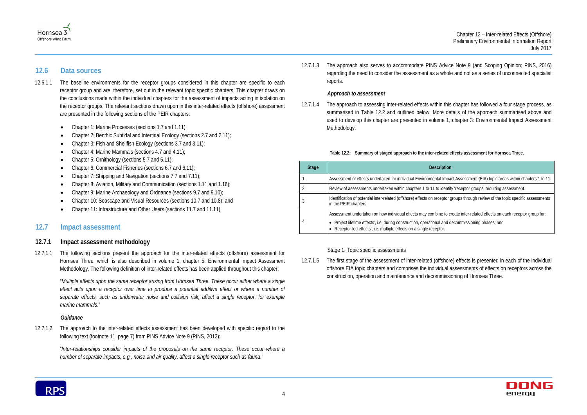

# Hornsea 3 Offshore Wind Farm

# <span id="page-8-0"></span>**12.6 Data sources**

- 12.6.1.1 The baseline environments for the receptor groups considered in this chapter are specific to each receptor group and are, therefore, set out in the relevant topic specific chapters. This chapter draws on the conclusions made within the individual chapters for the assessment of impacts acting in isolation on the receptor groups. The relevant sections drawn upon in this inter-related effects (offshore) assessment are presented in the following sections of the PEIR chapters:
	- Chapter 1: Marine Processes (sections 1.7 and 1.11);
	- Chapter 2: Benthic Subtidal and Intertidal Ecology (sections 2.7 and 2.11);
	- Chapter 3: Fish and Shellfish Ecology (sections 3.7 and 3.11);
	- Chapter 4: Marine Mammals (sections 4.7 and 4.11);
	- Chapter 5: Ornithology (sections 5.7 and 5.11);
	- Chapter 6: Commercial Fisheries (sections 6.7 and 6.11);
	- Chapter 7: Shipping and Navigation (sections 7.7 and 7.11);
	- Chapter 8: Aviation, Military and Communication (sections 1.11 and 1.16);
	- Chapter 9: Marine Archaeology and Ordnance (sections 9.7 and 9.10);
	- Chapter 10: Seascape and Visual Resources (sections 10.7 and 10.8); and
	- Chapter 11: Infrastructure and Other Users (sections 11.7 and 11.11).

# <span id="page-8-1"></span>**12.7 Impact assessment**

### **12.7.1 Impact assessment methodology**

12.7.1.1 The following sections present the approach for the inter-related effects (offshore) assessment for Hornsea Three, which is also described in volume 1, chapter 5: Environmental Impact Assessment Methodology. The following definition of inter-related effects has been applied throughout this chapter:

> "*Multiple effects upon the same receptor arising from Hornsea Three. These occur either where a single*  effect acts upon a receptor over time to produce a potential additive effect or where a number of *separate effects, such as underwater noise and collision risk, affect a single receptor, for example marine mammals*."

### *Guidance*

12.7.1.2 The approach to the inter-related effects assessment has been developed with specific regard to the following text (footnote 11, page 7) from PINS Advice Note 9 (PINS, 2012):

"*Inter-relationships consider impacts of the proposals on the same receptor. These occur where a number of separate impacts, e.g., noise and air quality, affect a single receptor such as fauna*."

12.7.1.3 The approach also serves to accommodate PINS Advice Note 9 (and Scoping Opinion; PINS, 2016) regarding the need to consider the assessment as a whole and not as a series of unconnected specialist reports.

### *Approach to assessment*

12.7.1.4 The approach to assessing inter-related effects within this chapter has followed a four stage process, as summarised in Table 12.2 and outlined below. More details of the approach summarised above and used to develop this chapter are presented in volume 1, chapter 3: Environmental Impact Assessment Methodology.

#### **Table 12.2: Summary of staged approach to the inter-related effects assessment for Hornsea Three.**

<span id="page-8-2"></span>

| <b>Stage</b> | <b>Description</b>                                                                                                                                                           |  |
|--------------|------------------------------------------------------------------------------------------------------------------------------------------------------------------------------|--|
|              | Assessment of effects undertaken for individual Environmental Impact Assessment (EIA) topic areas within chapters 1 to 11.                                                   |  |
|              | Review of assessments undertaken within chapters 1 to 11 to identify 'receptor groups' requiring assessment.                                                                 |  |
| 3            | Identification of potential inter-related (offshore) effects on receptor groups through review of the topic specific assessments<br>in the PEIR chapters.                    |  |
|              | Assessment undertaken on how individual effects may combine to create inter-related effects on each receptor group for:                                                      |  |
| 4            | • 'Project lifetime effects', i.e. during construction, operational and decommissioning phases; and<br>• 'Receptor-led effects', i.e. multiple effects on a single receptor. |  |

#### Stage 1: Topic specific assessments

12.7.1.5 The first stage of the assessment of inter-related (offshore) effects is presented in each of the individual offshore EIA topic chapters and comprises the individual assessments of effects on receptors across the construction, operation and maintenance and decommissioning of Hornsea Three.

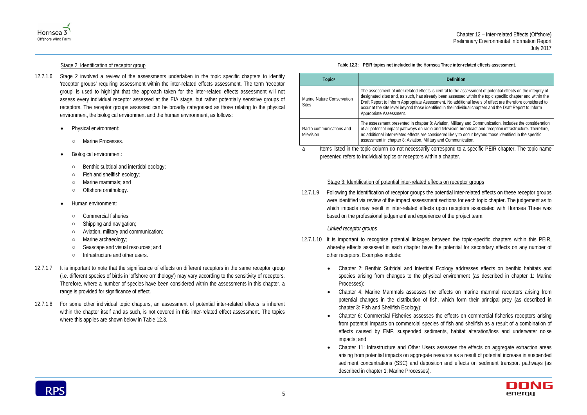tral to the assessment of potential effects on the integrity of en assessed within the topic specific chapter and within the nt. No additional levels of effect are therefore considered to in the individual chapters and the Draft Report to Inform

ion, Military and Communication, includes the consideration elevision broadcast and reception infrastructure. Therefore, red likely to occur beyond those identified in the specific Communication.

- 12.7.1.6 Stage 2 involved a review of the assessments undertaken in the topic specific chapters to identify 'receptor groups' requiring assessment within the inter-related effects assessment. The term 'receptor group' is used to highlight that the approach taken for the inter-related effects assessment will not assess every individual receptor assessed at the EIA stage, but rather potentially sensitive groups of receptors. The receptor groups assessed can be broadly categorised as those relating to the physical environment, the biological environment and the human environment, as follows:
	- Physical environment:
		- Marine Processes.
	- Biological environment:
		- Benthic subtidal and intertidal ecology;
		- Fish and shellfish ecology;
		- Marine mammals; and
		- Offshore ornithology.
	- Human environment:
		- Commercial fisheries;
		- Shipping and navigation;
		- Aviation, military and communication;
		- Marine archaeology;
		- Seascape and visual resources; and
		- Infrastructure and other users.
- 12.7.1.7 It is important to note that the significance of effects on different receptors in the same receptor group (i.e. different species of birds in 'offshore ornithology') may vary according to the sensitivity of receptors. Therefore, where a number of species have been considered within the assessments in this chapter, a range is provided for significance of effect.
- 12.7.1.8 For some other individual topic chapters, an assessment of potential inter-related effects is inherent within the chapter itself and as such, is not covered in this inter-related effect assessment. The topics where this applies are shown below in Table 12.3.



#### Stage 2: Identification of receptor group

a Items listed in the topic column do not necessarily correspond to a specific PEIR chapter. The topic name presented refers to individual topics or receptors within a chapter.

**Table 12.3: PEIR topics not included in the Hornsea Three inter-related effects assessment.**

<span id="page-9-0"></span>

| <b>Topica</b>                              | Definition                                                                                                                                                                                                                                                                          |
|--------------------------------------------|-------------------------------------------------------------------------------------------------------------------------------------------------------------------------------------------------------------------------------------------------------------------------------------|
| Marine Nature Conservation<br><b>Sites</b> | The assessment of inter-related effects is central to the ass<br>designated sites and, as such, has already been assessed<br>Draft Report to Inform Appropriate Assessment. No additio<br>occur at the site level beyond those identified in the individ<br>Appropriate Assessment. |
| Radio communications and<br>television     | The assessment presented in chapter 8: Aviation, Military a<br>of all potential impact pathways on radio and television bro<br>no additional inter-related effects are considered likely to o<br>assessment in chapter 8: Aviation, Military and Communica                          |

#### Stage 3: Identification of potential inter-related effects on receptor groups

12.7.1.9 Following the identification of receptor groups the potential inter-related effects on these receptor groups were identified via review of the impact assessment sections for each topic chapter. The judgement as to which impacts may result in inter-related effects upon receptors associated with Hornsea Three was based on the professional judgement and experience of the project team.

#### *Linked receptor groups*

species arising from changes to the physical environment (as described in chapter 1: Marine

• Chapter 4: Marine Mammals assesses the effects on marine mammal receptors arising from potential changes in the distribution of fish, which form their principal prey (as described in

- <span id="page-9-1"></span>12.7.1.10 It is important to recognise potential linkages between the topic-specific chapters within this PEIR, whereby effects assessed in each chapter have the potential for secondary effects on any number of other receptors. Examples include:
	- Chapter 2: Benthic Subtidal and Intertidal Ecology addresses effects on benthic habitats and Processes);
	- chapter 3: Fish and Shellfish Ecology);
	- impacts; and
	- described in chapter 1: Marine Processes).



• Chapter 6: Commercial Fisheries assesses the effects on commercial fisheries receptors arising from potential impacts on commercial species of fish and shellfish as a result of a combination of effects caused by EMF, suspended sediments, habitat alteration/loss and underwater noise

• Chapter 11: Infrastructure and Other Users assesses the effects on aggregate extraction areas arising from potential impacts on aggregate resource as a result of potential increase in suspended sediment concentrations (SSC) and deposition and effects on sediment transport pathways (as

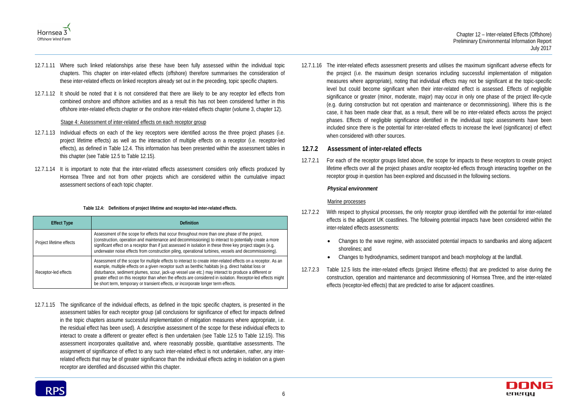



- 12.7.1.11 Where such linked relationships arise these have been fully assessed within the individual topic chapters. This chapter on inter-related effects (offshore) therefore summarises the consideration of these inter-related effects on linked receptors already set out in the preceding, topic specific chapters.
- 12.7.1.12 It should be noted that it is not considered that there are likely to be any receptor led effects from combined onshore and offshore activities and as a result this has not been considered further in this offshore inter-related effects chapter or the onshore inter-related effects chapter (volume 3, chapter 12).

#### Stage 4: Assessment of inter-related effects on each receptor group

- 12.7.1.13 Individual effects on each of the key receptors were identified across the three project phases (i.e. project lifetime effects) as well as the interaction of multiple effects on a receptor (i.e. receptor-led effects), as defined in [Table 12.4.](#page-10-0) This information has been presented within the assessment tables in this chapter (see [Table 12.5](#page-12-0) to [Table 12.15\)](#page-37-0).
- 12.7.1.14 It is important to note that the inter-related effects assessment considers only effects produced by Hornsea Three and not from other projects which are considered within the cumulative impact assessment sections of each topic chapter.

#### **Table 12.4: Definitions of project lifetime and receptor-led inter-related effects.**

<span id="page-10-0"></span>

| <b>Effect Type</b>                                                                                                                                                                                                                                                                                                                                                                                                                                                                                                                                          | <b>Definition</b>                                                                                                                                                                                                                                                                                                                                                                                                                |  |
|-------------------------------------------------------------------------------------------------------------------------------------------------------------------------------------------------------------------------------------------------------------------------------------------------------------------------------------------------------------------------------------------------------------------------------------------------------------------------------------------------------------------------------------------------------------|----------------------------------------------------------------------------------------------------------------------------------------------------------------------------------------------------------------------------------------------------------------------------------------------------------------------------------------------------------------------------------------------------------------------------------|--|
| Project lifetime effects                                                                                                                                                                                                                                                                                                                                                                                                                                                                                                                                    | Assessment of the scope for effects that occur throughout more than one phase of the project,<br>(construction, operation and maintenance and decommissioning) to interact to potentially create a more<br>significant effect on a receptor than if just assessed in isolation in these three key project stages (e.g.<br>underwater noise effects from construction piling, operational turbines, vessels and decommissioning). |  |
| Assessment of the scope for multiple effects to interact to create inter-related effects on a receptor. As an<br>example, multiple effects on a given receptor such as benthic habitats (e.g. direct habitat loss or<br>disturbance, sediment plumes, scour, jack-up vessel use etc.) may interact to produce a different or<br>Receptor-led effects<br>greater effect on this receptor than when the effects are considered in isolation. Receptor-led effects might<br>be short term, temporary or transient effects, or incorporate longer term effects. |                                                                                                                                                                                                                                                                                                                                                                                                                                  |  |

12.7.1.15 The significance of the individual effects, as defined in the topic specific chapters, is presented in the assessment tables for each receptor group (all conclusions for significance of effect for impacts defined in the topic chapters assume successful implementation of mitigation measures where appropriate, i.e. the residual effect has been used). A descriptive assessment of the scope for these individual effects to interact to create a different or greater effect is then undertaken (see Table 12.5 to Table 12.15). This assessment incorporates qualitative and, where reasonably possible, quantitative assessments. The assignment of significance of effect to any such inter-related effect is not undertaken, rather, any interrelated effects that may be of greater significance than the individual effects acting in isolation on a given receptor are identified and discussed within this chapter.

12.7.1.16 The inter-related effects assessment presents and utilises the maximum significant adverse effects for the project (i.e. the maximum design scenarios including successful implementation of mitigation measures where appropriate), noting that individual effects may not be significant at the topic-specific level but could become significant when their inter-related effect is assessed. Effects of negligible significance or greater (minor, moderate, major) may occur in only one phase of the project life-cycle (e.g. during construction but not operation and maintenance or decommissioning). Where this is the case, it has been made clear that, as a result, there will be no inter-related effects across the project phases. Effects of negligible significance identified in the individual topic assessments have been included since there is the potential for inter-related effects to increase the level (significance) of effect when considered with other sources.

# **12.7.2 Assessment of inter-related effects**

12.7.2.1 For each of the receptor groups listed above, the scope for impacts to these receptors to create project lifetime effects over all the project phases and/or receptor-led effects through interacting together on the receptor group in question has been explored and discussed in the following sections.

### *Physical environment*

### Marine processes

- 12.7.2.2 With respect to physical processes, the only receptor group identified with the potential for inter-related effects is the adjacent UK coastlines. The following potential impacts have been considered within the inter-related effects assessments:
	- Changes to the wave regime, with associated potential impacts to sandbanks and along adjacent shorelines; and
	- Changes to hydrodynamics, sediment transport and beach morphology at the landfall.
- 12.7.2.3 Table 12.5 lists the inter-related effects (project lifetime effects) that are predicted to arise during the construction, operation and maintenance and decommissioning of Hornsea Three, and the inter-related effects (receptor-led effects) that are predicted to arise for adjacent coastlines.

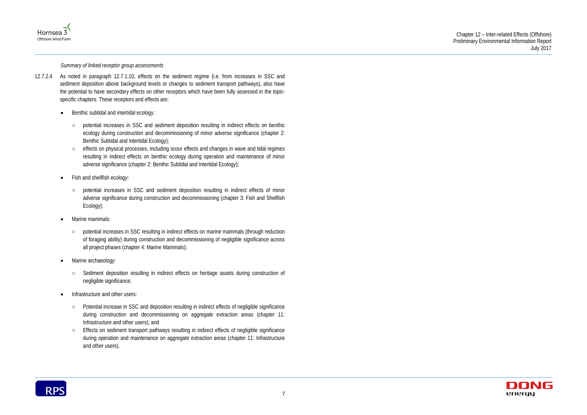



*Summary of linked receptor group assessments*

- 12.7.2.4 As noted in paragraph [12.7.1.10,](#page-9-1) effects on the sediment regime (i.e. from increases in SSC and sediment deposition above background levels or changes to sediment transport pathways), also have the potential to have secondary effects on other receptors which have been fully assessed in the topicspecific chapters. These receptors and effects are:
	- Benthic subtidal and intertidal ecology:
		- potential increases in SSC and sediment deposition resulting in indirect effects on benthic ecology during construction and decommissioning of minor adverse significance (chapter 2: Benthic Subtidal and Intertidal Ecology);
		- effects on physical processes, including scour effects and changes in wave and tidal regimes resulting in indirect effects on benthic ecology during operation and maintenance of minor adverse significance (chapter 2: Benthic Subtidal and Intertidal Ecology);
	- Fish and shellfish ecology:
		- potential increases in SSC and sediment deposition resulting in indirect effects of minor adverse significance during construction and decommissioning (chapter 3: Fish and Shellfish Ecology);
	- Marine mammals:
		- potential increases in SSC resulting in indirect effects on marine mammals (through reduction of foraging ability) during construction and decommissioning of negligible significance across all project phases (chapter 4: Marine Mammals);
	- Marine archaeology:
		- Sediment deposition resulting in indirect effects on heritage assets during construction of negligible significance;
	- Infrastructure and other users:
		- Potential increase in SSC and deposition resulting in indirect effects of negligible significance during construction and decommissioning on aggregate extraction areas (chapter 11: Infrastructure and other users); and
		- Effects on sediment transport pathways resulting in indirect effects of negligible significance during operation and maintenance on aggregate extraction areas (chapter 11: Infrastructure and other users).

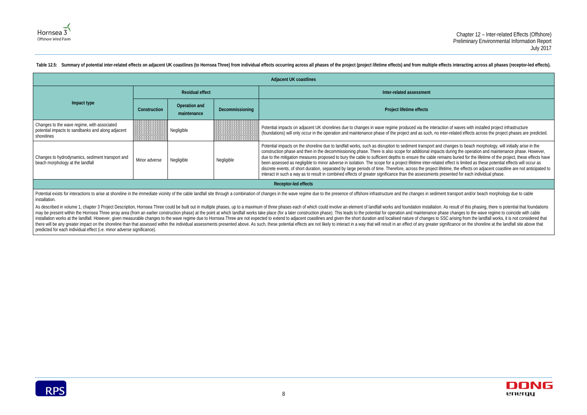tion of waves with installed project infrastructure nter-related effects across the project phases are predicted.

I changes to beach morphology, will initially arise in the ts during the operation and maintenance phase. However, mains buried for the lifetime of the project, these effects have d effect is limited as these potential effects will occur as etime, the effects on adjacent coastline are not anticipated to resented for each individual phase.



Potential exists for interactions to arise at shoreline in the immediate vicinity of the cable landfall site through a combination of changes in the wave regime due to the presence of offshore infrastructure and the change installation.

|                                                                                                                |               |                              |                 | <b>Adjacent UK coastlines</b>                                                                                                                                                                                                                                                                                                                                                                                                                                                                                                                                                                                                                                 |  |  |
|----------------------------------------------------------------------------------------------------------------|---------------|------------------------------|-----------------|---------------------------------------------------------------------------------------------------------------------------------------------------------------------------------------------------------------------------------------------------------------------------------------------------------------------------------------------------------------------------------------------------------------------------------------------------------------------------------------------------------------------------------------------------------------------------------------------------------------------------------------------------------------|--|--|
|                                                                                                                |               | <b>Residual effect</b>       |                 | Inter-related assessment                                                                                                                                                                                                                                                                                                                                                                                                                                                                                                                                                                                                                                      |  |  |
| Impact type                                                                                                    | Construction  | Operation and<br>maintenance | Decommissioning | Project lifetime effects                                                                                                                                                                                                                                                                                                                                                                                                                                                                                                                                                                                                                                      |  |  |
| Changes to the wave regime, with associated<br>potential impacts to sandbanks and along adjacent<br>shorelines |               | Negligible                   |                 | Potential impacts on adjacent UK shorelines due to changes in wave regime produced via the interact<br>(foundations) will only occur in the operation and maintenance phase of the project and as such, no in                                                                                                                                                                                                                                                                                                                                                                                                                                                 |  |  |
| Changes to hydrodynamics, sediment transport and<br>beach morphology at the landfall                           | Minor adverse | Negligible                   | Negligible      | Potential impacts on the shoreline due to landfall works, such as disruption to sediment transport and<br>construction phase and then in the decommissioning phase. There is also scope for additional impact<br>due to the mitigation measures proposed to bury the cable to sufficient depths to ensure the cable ren<br>been assessed as negligible to minor adverse in isolation. The scope for a project lifetime inter-related<br>discrete events, of short duration, separated by large periods of time. Therefore, across the project life<br>interact in such a way as to result in combined effects of greater significance than the assessments pr |  |  |
| Receptor-led effects                                                                                           |               |                              |                 |                                                                                                                                                                                                                                                                                                                                                                                                                                                                                                                                                                                                                                                               |  |  |

<span id="page-12-0"></span>Table 12.5: Summary of potential inter-related effects on adjacent UK coastlines (to Hornsea Three) from individual effects occurring across all phases of the project (project lifetime effects) and from multiple effects in

As described in volume 1, chapter 3 Project Description, Hornsea Three could be built out in multiple phases, up to a maximum of three phases each of which could involve an element of landfall works and foundation installa may be present within the Hornsea Three array area (from an earlier construction phase) at the point at which landfall works take place (for a later construction phase). This leads to the potential for operation and mainte installation works at the landfall. However, given measurable changes to the wave regime due to Hornsea Three are not expected to extend to adjacent coastlines and given the short duration and localised nature of changes t there will be any greater impact on the shoreline than that assessed within the individual assessments presented above. As such, these potential effects are not likely to interact in a way that will result in an effect of predicted for each individual effect (i.e. minor adverse significance).

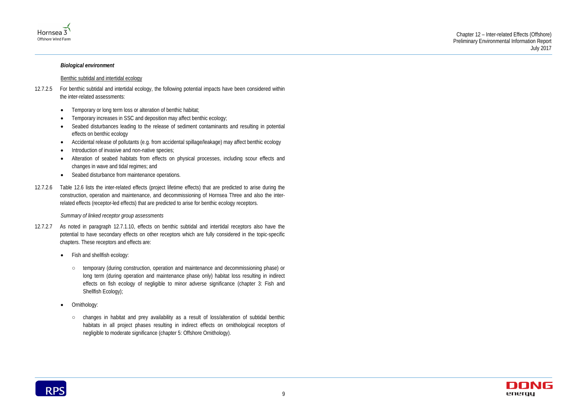



#### *Biological environment*

#### Benthic subtidal and intertidal ecology

- 12.7.2.5 For benthic subtidal and intertidal ecology, the following potential impacts have been considered within the inter-related assessments:
	- Temporary or long term loss or alteration of benthic habitat;
	- Temporary increases in SSC and deposition may affect benthic ecology;
	- Seabed disturbances leading to the release of sediment contaminants and resulting in potential effects on benthic ecology
	- Accidental release of pollutants (e.g. from accidental spillage/leakage) may affect benthic ecology
	- Introduction of invasive and non-native species;
	- Alteration of seabed habitats from effects on physical processes, including scour effects and changes in wave and tidal regimes; and
	- Seabed disturbance from maintenance operations.
- 12.7.2.6 Table 12.6 lists the inter-related effects (project lifetime effects) that are predicted to arise during the construction, operation and maintenance, and decommissioning of Hornsea Three and also the interrelated effects (receptor-led effects) that are predicted to arise for benthic ecology receptors.

#### *Summary of linked receptor group assessments*

- 12.7.2.7 As noted in paragraph [12.7.1.10,](#page-9-1) effects on benthic subtidal and intertidal receptors also have the potential to have secondary effects on other receptors which are fully considered in the topic-specific chapters. These receptors and effects are:
	- Fish and shellfish ecology:
		- temporary (during construction, operation and maintenance and decommissioning phase) or long term (during operation and maintenance phase only) habitat loss resulting in indirect effects on fish ecology of negligible to minor adverse significance (chapter 3: Fish and Shellfish Ecology);
	- Ornithology:
		- changes in habitat and prey availability as a result of loss/alteration of subtidal benthic habitats in all project phases resulting in indirect effects on ornithological receptors of negligible to moderate significance (chapter 5: Offshore Ornithology).

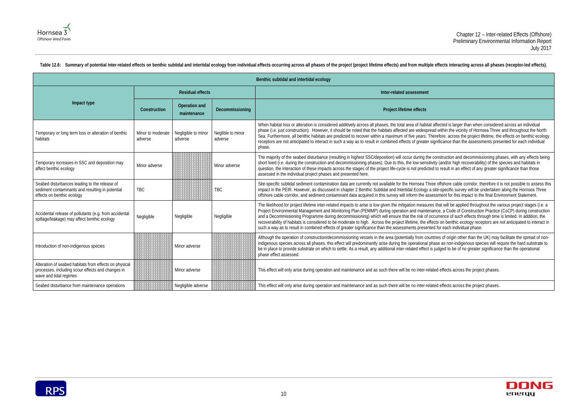ted is larger than when considered across an individual thin the vicinity of Hornsea Three and throughout the North ore, across the project lifetime, the effects on benthic ecology cance than the assessments presented for each individual

truction and decommissioning phases, with any effects being and/or high recoverability) of the species and habitats in esult in an effect of any greater significance than those

shore cable corridor, therefore it is not possible to assess this specific survey will be undertaken along the Hornsea Three ent for this impact in the final Environment Statement.

t will be applied throughout the various project stages (i.e. a a Code of Construction Practice (CoCP) during construction ence of such effects through time is limited. In addition, the on benthic ecology receptors are not anticipated to interact in each individual phase.

of origin other than the UK) may facilitate the spread of nonas non-indigenous species will require the hard substrate to ed to be of no greater significance than the operational



| Benthic subtidal and intertidal ecology                                                                                               |                              |                                |                              |                                                                                                                                                                                                                                                                                                                                                                                                                                                                                                                                                                                                                                                                                                      |  |  |  |  |
|---------------------------------------------------------------------------------------------------------------------------------------|------------------------------|--------------------------------|------------------------------|------------------------------------------------------------------------------------------------------------------------------------------------------------------------------------------------------------------------------------------------------------------------------------------------------------------------------------------------------------------------------------------------------------------------------------------------------------------------------------------------------------------------------------------------------------------------------------------------------------------------------------------------------------------------------------------------------|--|--|--|--|
|                                                                                                                                       |                              | <b>Residual effects</b>        |                              | Inter-related assessment                                                                                                                                                                                                                                                                                                                                                                                                                                                                                                                                                                                                                                                                             |  |  |  |  |
| Impact type                                                                                                                           | Construction                 | Operation and<br>maintenance   | Decommissioning              | Project lifetime effects                                                                                                                                                                                                                                                                                                                                                                                                                                                                                                                                                                                                                                                                             |  |  |  |  |
| Temporary or long term loss or alteration of benthic<br>habitats                                                                      | Minor to moderate<br>adverse | Negligible to minor<br>adverse | Neglible to minor<br>adverse | When habitat loss or alteration is considered additively across all phases, the total area of habitat affected is larger than when consider<br>phase (i.e. just construction). However, it should be noted that the habitats affected are widespread within the vicinity of Hornsea Three<br>Sea. Furthermore, all benthic habitats are predicted to recover within a maximum of five years. Therefore, across the project lifetime, th<br>receptors are not anticipated to interact in such a way as to result in combined effects of greater significance than the assessments pre<br>phase.                                                                                                       |  |  |  |  |
| Temporary increases in SSC and deposition may<br>affect benthic ecology                                                               | Minor adverse                |                                | Minor adverse                | The majority of the seabed disturbance (resulting in highest SSC/deposition) will occur during the construction and decommissioning ph<br>short lived (i.e. during the construction and decommissioning phases). Due to this, the low sensitivity (and/or high recoverability) of the<br>question, the interaction of these impacts across the stages of the project life-cycle is not predicted to result in an effect of any greater s<br>assessed in the individual project phases and presented here.                                                                                                                                                                                            |  |  |  |  |
| Seabed disturbances leading to the release of<br>sediment contaminants and resulting in potential<br>effects on benthic ecology       | <b>TBC</b>                   |                                | <b>TBC</b>                   | Site-specific subtidal sediment contamination data are currently not available for the Hornsea Three offshore cable corridor, therefore it<br>impact in the PEIR. However, as discussed in chapter 2 Benthic Subtidal and Intertidal Ecology a site-specific survey will be undertaken<br>offshore cable corridor, and sediment contaminant data acquired in this survey will inform the assessment for this impact in the final Engl                                                                                                                                                                                                                                                                |  |  |  |  |
| Accidental release of pollutants (e.g. from accidental<br>spillage/leakage) may affect benthic ecology                                | Negligible                   | Negligible                     | Negligible                   | The likelihood for project lifetime inter-related impacts to arise is low given the mitigation measures that will be applied throughout the v<br>Project Environmental Management and Monitoring Plan (PEMMP) during operation and maintenance, a Code of Construction Practice<br>and a Decommissioning Programme during decommissioning) which will ensure that the risk of occurrence of such effects through time<br>recoverability of habitats is considered to be moderate to high. Across the project lifetime, the effects on benthic ecology receptors are<br>such a way as to result in combined effects of greater significance than the assessments presented for each individual phase. |  |  |  |  |
| Introduction of non-indigenous species                                                                                                |                              | Minor adverse                  |                              | Although the operation of construction/decommissioning vessels in the area (potentially from countries of origin other than the UK) may<br>indigenous species across all phases, this effect will predominantly arise during the operational phase as non-indigenous species will re<br>be in place to provide substrate on which to settle. As a result, any additional inter-related effect is judged to be of no greater significant<br>phase effect assessed.                                                                                                                                                                                                                                    |  |  |  |  |
| Alteration of seabed habitats from effects on physical<br>processes, including scour effects and changes in<br>wave and tidal regimes |                              | Minor adverse                  |                              | This effect will only arise during operation and maintenance and as such there will be no inter-related effects across the project phases.                                                                                                                                                                                                                                                                                                                                                                                                                                                                                                                                                           |  |  |  |  |
| Seabed disturbance from maintenance operations                                                                                        |                              | Negligible adverse             |                              | This effect will only arise during operation and maintenance and as such there will be no inter-related effects across the project phases.                                                                                                                                                                                                                                                                                                                                                                                                                                                                                                                                                           |  |  |  |  |

<span id="page-14-0"></span>Table 12.6: Summary of potential inter-related effects on benthic subtidal and intertidal ecology from individual effects occurring across all phases of the project (project lifetime effects) and from multiple effects inte

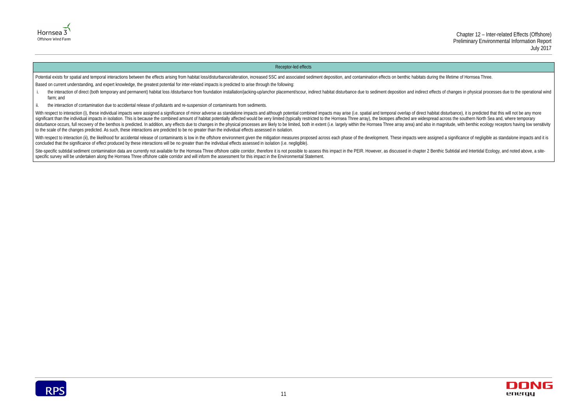



#### Receptor-led effects

Potential exists for spatial and temporal interactions between the effects arising from habitat loss/disturbance/alteration, increased SSC and associated sediment deposition, and contamination effects on benthic habitats d Based on current understanding, and expert knowledge, the greatest potential for inter-related impacts is predicted to arise through the following:

- i. the interaction of direct (both temporary and permanent) habitat loss /disturbance from foundation installation/jacking-up/anchor placement/scour, indirect habitat disturbance due to sediment deposition and indirect eff farm; and
- ii. the interaction of contamination due to accidental release of pollutants and re-suspension of contaminants from sediments.

With respect to interaction (i), these individual impacts were assigned a significance of minor adverse as standalone impacts and although potential combined impacts may arise (i.e. spatial and temporal overlap of direct h significant than the individual impacts in isolation. This is because the combined amount of habitat potentially affected would be very limited (typically restricted to the Hornsea Three array), the biotopes affected are w disturbance occurs, full recovery of the benthos is predicted. In addition, any effects due to changes in the physical processes are likely to be limited, both in extent (i.e. largely within the Hornsea Three array area) a to the scale of the changes predicted. As such, these interactions are predicted to be no greater than the individual effects assessed in isolation.

With respect to interaction (ii), the likelihood for accidental release of contaminants is low in the offshore environment given the mitigation measures proposed across each phase of the development. These impacts were ass concluded that the significance of effect produced by these interactions will be no greater than the individual effects assessed in isolation (i.e. negligible).

Site-specific subtidal sediment contamination data are currently not available for the Hornsea Three offshore cable corridor, therefore it is not possible to assess this impact in the PEIR. However, as discussed in chapter specific survey will be undertaken along the Hornsea Three offshore cable corridor and will inform the assessment for this impact in the Environmental Statement.

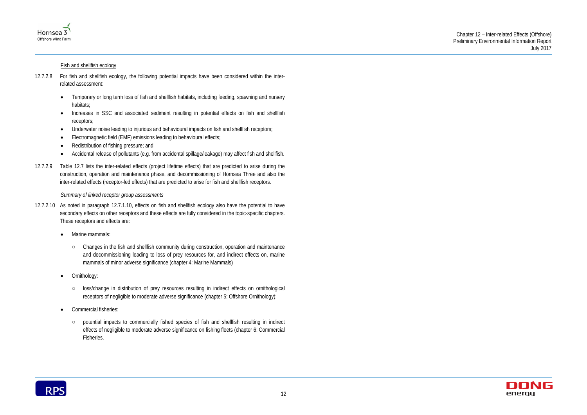



#### Fish and shellfish ecology

- 12.7.2.8 For fish and shellfish ecology, the following potential impacts have been considered within the interrelated assessment:
	- Temporary or long term loss of fish and shellfish habitats, including feeding, spawning and nursery habitats;
	- Increases in SSC and associated sediment resulting in potential effects on fish and shellfish receptors;
	- Underwater noise leading to injurious and behavioural impacts on fish and shellfish receptors;
	- Electromagnetic field (EMF) emissions leading to behavioural effects;
	- Redistribution of fishing pressure; and
	- Accidental release of pollutants (e.g. from accidental spillage/leakage) may affect fish and shellfish.
- 12.7.2.9 Table 12.7 lists the inter-related effects (project lifetime effects) that are predicted to arise during the construction, operation and maintenance phase, and decommissioning of Hornsea Three and also the inter-related effects (receptor-led effects) that are predicted to arise for fish and shellfish receptors.

*Summary of linked receptor group assessments*

- 12.7.2.10 As noted in paragraph [12.7.1.10,](#page-9-1) effects on fish and shellfish ecology also have the potential to have secondary effects on other receptors and these effects are fully considered in the topic-specific chapters. These receptors and effects are:
	- Marine mammals:
		- Changes in the fish and shellfish community during construction, operation and maintenance and decommissioning leading to loss of prey resources for, and indirect effects on, marine mammals of minor adverse significance (chapter 4: Marine Mammals)
	- Ornithology:
		- loss/change in distribution of prey resources resulting in indirect effects on ornithological receptors of negligible to moderate adverse significance (chapter 5: Offshore Ornithology);
	- Commercial fisheries:
		- potential impacts to commercially fished species of fish and shellfish resulting in indirect effects of negligible to moderate adverse significance on fishing fleets (chapter 6: Commercial Fisheries.

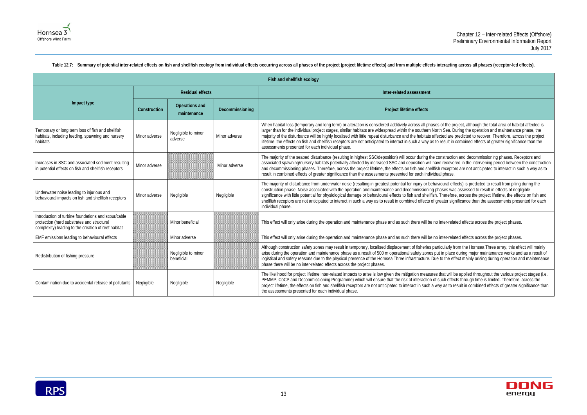f the project, although the total area of habitat affected is i Sea. During the operation and maintenance phase, the ted are predicted to recover. Therefore, across the project esult in combined effects of greater significance than the

Intruction and decommissioning phases. Receptors and  $\overline{\phantom{a}}$ recovered in the intervening period between the construction receptors are not anticipated to interact in such a way as to

oural effects) is predicted to result from piling during the ses was assessed to result in effects of negligible herefore, across the project lifetime, the effects on fish and ater significance than the assessments presented for each

Iter-related effects across the project phases.

iter-related effects across the project phases.

cularly from the Hornsea Three array, this effect will mainly in place during major maintenance works and as a result of If the effect mainly arising during operation and maintenance

nat will be applied throughout the various project stages (i.e. ch effects through time is limited. Therefore, across the as to result in combined effects of greater significance than



<span id="page-17-0"></span>

|               |                                      | Fish and shellfish ecology |                                                                                                                                                                                                                                                                                                                                                                                                                                                                                                                                     |
|---------------|--------------------------------------|----------------------------|-------------------------------------------------------------------------------------------------------------------------------------------------------------------------------------------------------------------------------------------------------------------------------------------------------------------------------------------------------------------------------------------------------------------------------------------------------------------------------------------------------------------------------------|
|               | <b>Residual effects</b>              |                            | Inter-related assessment                                                                                                                                                                                                                                                                                                                                                                                                                                                                                                            |
| Construction  | <b>Operations and</b><br>maintenance | Decommissioning            | Project lifetime effects                                                                                                                                                                                                                                                                                                                                                                                                                                                                                                            |
| Minor adverse | Negligible to minor<br>adverse       | Minor adverse              | When habitat loss (temporary and long term) or alteration is considered additively across all phases of the pr<br>larger than for the individual project stages, similar habitats are widespread within the southern North Sea. D<br>majority of the disturbance will be highly localised with little repeat disturbance and the habitats affected are p<br>lifetime, the effects on fish and shellfish receptors are not anticipated to interact in such a way as to result in<br>assessments presented for each individual phase. |
| Minor adverse |                                      | Minor adverse              | The majority of the seabed disturbance (resulting in highest SSC/deposition) will occur during the constructio<br>associated spawning/nursery habitats potentially affected by increased SSC and deposition will have recover<br>and decommissioning phases. Therefore, across the project lifetime, the effects on fish and shellfish receptor<br>result in combined effects of greater significance than the assessments presented for each individual phase.                                                                     |
| Minor adverse | Negligible                           | Negligible                 | The majority of disturbance from underwater noise (resulting in greatest potential for injury or behavioural eff<br>construction phase. Noise associated with the operation and maintenance and decommissioning phases was<br>significance with little potential for physiological damage or behavioural effects to fish and shellfish. Therefore<br>shellfish receptors are not anticipated to interact in such a way as to result in combined effects of greater sign<br>individual phase.                                        |
|               | Minor beneficial                     |                            | This effect will only arise during the operation and maintenance phase and as such there will be no inter-rela                                                                                                                                                                                                                                                                                                                                                                                                                      |
|               | Minor adverse                        |                            | This effect will only arise during the operation and maintenance phase and as such there will be no inter-rela                                                                                                                                                                                                                                                                                                                                                                                                                      |
|               | Negligible to minor<br>beneficial    |                            | Although construction safety zones may result in temporary, localised displacement of fisheries particularly fr<br>arise during the operation and maintenance phase as a result of 500 m operational safety zones put in place<br>logistical and safety reasons due to the physical presence of the Hornsea Three infrastructure. Due to the eff<br>phase there will be no inter-related effects across the project phases.                                                                                                         |
| Negligible    | Negligible                           | Negligible                 | The likelihood for project lifetime inter-related impacts to arise is low given the mitigation measures that will b<br>PEMMP, CoCP and Decommissioning Programme) which will ensure that the risk of interaction of such effec<br>project lifetime, the effects on fish and shellfish receptors are not anticipated to interact in such a way as to re<br>the assessments presented for each individual phase.                                                                                                                      |
|               |                                      |                            |                                                                                                                                                                                                                                                                                                                                                                                                                                                                                                                                     |

#### Table 12.7: Summary of potential inter-related effects on fish and shellfish ecology from individual effects occurring across all phases of the project (project lifetime effects) and from multiple effects interacting acros

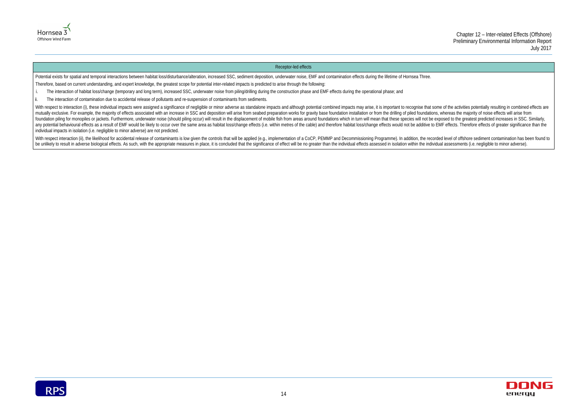



#### Receptor-led effects

Potential exists for spatial and temporal interactions between habitat loss/disturbance/alteration, increased SSC, sediment deposition, underwater noise, EMF and contamination effects during the lifetime of Hornsea Three. Therefore, based on current understanding, and expert knowledge, the greatest scope for potential inter-related impacts is predicted to arise through the following:

- i. The interaction of habitat loss/change (temporary and long term), increased SSC, underwater noise from piling/drilling during the construction phase and EMF effects during the operational phase; and
- ii. The interaction of contamination due to accidental release of pollutants and re-suspension of contaminants from sediments.

With respect to interaction (i), these individual impacts were assigned a significance of negligible or minor adverse as standalone impacts and although potential combined impacts may arise, it is important to recognise th mutually exclusive. For example, the majority of effects associated with an increase in SSC and deposition will arise from seabed preparation works for gravity base foundation installation or from the drilling of piled fou foundation piling for monopiles or jackets. Furthermore, underwater noise (should piling occur) will result in the displacement of mobile fish from areas around foundations which in turn will mean that these species will n any potential behavioural effects as a result of EMF would be likely to occur over the same area as habitat loss/change effects (i.e. within metres of the cable) and therefore habitat loss/change effects would not be addit individual impacts in isolation (i.e. negligible to minor adverse) are not predicted.

With respect interaction (ii), the likelihood for accidental release of contaminants is low given the controls that will be applied (e.g., implementation of a CoCP, PEMMP and Decommissioning Programme). In addition, the re be unlikely to result in adverse biological effects. As such, with the appropriate measures in place, it is concluded that the significance of effect will be no greater than the individual effects assessed in isolation wit

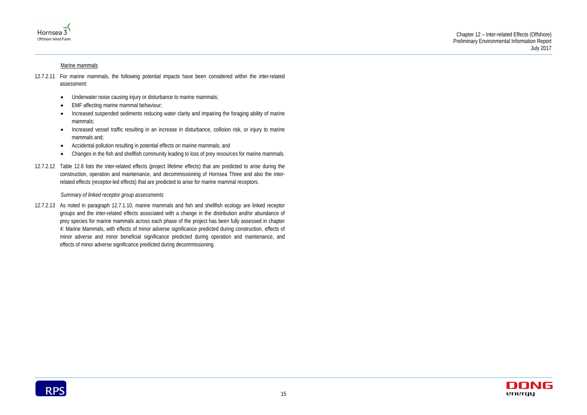



#### Marine mammals

- 12.7.2.11 For marine mammals, the following potential impacts have been considered within the inter-related assessment:
	- Underwater noise causing injury or disturbance to marine mammals;
	- EMF affecting marine mammal behaviour;
	- Increased suspended sediments reducing water clarity and impairing the foraging ability of marine mammals;
	- Increased vessel traffic resulting in an increase in disturbance, collision risk, or injury to marine mammals and;
	- Accidental pollution resulting in potential effects on marine mammals; and
	- Changes in the fish and shellfish community leading to loss of prey resources for marine mammals.
- 12.7.2.12 Table 12.8 lists the inter-related effects (project lifetime effects) that are predicted to arise during the construction, operation and maintenance, and decommissioning of Hornsea Three and also the interrelated effects (receptor-led effects) that are predicted to arise for marine mammal receptors.

#### *Summary of linked receptor group assessments*

12.7.2.13 As noted in paragraph [12.7.1.10,](#page-9-1) marine mammals and fish and shellfish ecology are linked receptor groups and the inter-related effects associated with a change in the distribution and/or abundance of prey species for marine mammals across each phase of the project has been fully assessed in chapter 4: Marine Mammals, with effects of minor adverse significance predicted during construction, effects of minor adverse and minor beneficial significance predicted during operation and maintenance, and effects of minor adverse significance predicted during decommissioning.

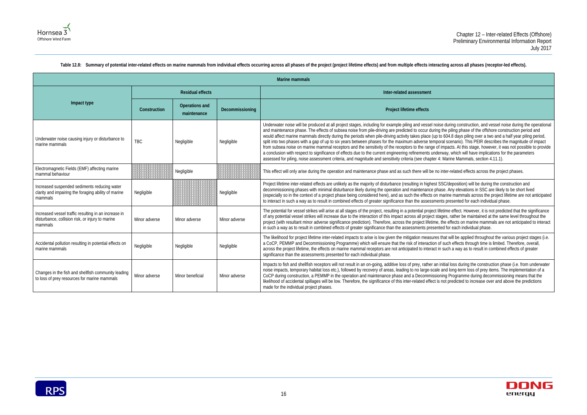during construction, and vessel noise during the operational the piling phase of the offshore construction period and  $\overline{0}$  604.8 days piling over a two and a half year piling period, al scenario). This PEIR describes the magnitude of impact mpacts. At this stage, however, it was not possible to provide way, which will have implications for the parameters Marine Mammals, section 4.11.1).

SC/deposition) will be during the construction and se. Any elevations in SSC are likely to be short lived harine mammals across the project lifetime are not anticipated ts presented for each individual phase.

etime effect. However, it is not predicted that the significance ges, rather be maintained at the same level throughout the he effects on marine mammals are not anticipated to interact ed for each individual phase.

hat will be applied throughout the various project stages (i.e. such effects through time is limited. Therefore, overall, such a way as to result in combined effects of greater

hitial loss during the construction phase (i.e. from underwater and long-term loss of prey items. The implementation of a ing Programme during decommissioning means that the not predicted to increase over and above the predictions



<span id="page-20-0"></span>

| Marine mammals                                                                                                      |               |                               |                 |                                                                                                                                                                                                                                                                                                                                                                                                                                                                                                                                                                                                                                                                                                                                                                                                                                                                                                                                                                                                                                                                           |  |  |  |  |
|---------------------------------------------------------------------------------------------------------------------|---------------|-------------------------------|-----------------|---------------------------------------------------------------------------------------------------------------------------------------------------------------------------------------------------------------------------------------------------------------------------------------------------------------------------------------------------------------------------------------------------------------------------------------------------------------------------------------------------------------------------------------------------------------------------------------------------------------------------------------------------------------------------------------------------------------------------------------------------------------------------------------------------------------------------------------------------------------------------------------------------------------------------------------------------------------------------------------------------------------------------------------------------------------------------|--|--|--|--|
|                                                                                                                     |               | <b>Residual effects</b>       |                 | Inter-related assessment                                                                                                                                                                                                                                                                                                                                                                                                                                                                                                                                                                                                                                                                                                                                                                                                                                                                                                                                                                                                                                                  |  |  |  |  |
| Impact type                                                                                                         | Construction  | Operations and<br>maintenance | Decommissioning | Project lifetime effects                                                                                                                                                                                                                                                                                                                                                                                                                                                                                                                                                                                                                                                                                                                                                                                                                                                                                                                                                                                                                                                  |  |  |  |  |
| Underwater noise causing injury or disturbance to<br>marine mammals                                                 | TBC           | Negligible                    | Negligible      | Underwater noise will be produced at all project stages, including for example piling and vessel noise during construction, and vessel noise during<br>and maintenance phase. The effects of subsea noise from pile-driving are predicted to occur during the piling phase of the offshore construction p<br>would affect marine mammals directly during the periods when pile-driving activity takes place (up to 604.8 days piling over a two and a half year<br>split into two phases with a gap of up to six years between phases for the maximum adverse temporal scenario). This PEIR describes the magnitu<br>from subsea noise on marine mammal receptors and the sensitivity of the receptors to the range of impacts. At this stage, however, it was not pos<br>a conclusion with respect to significance of effects due to the current engineering refinements underway, which will have implications for the parar<br>assessed for piling, noise assessment criteria, and magnitude and sensitivity criteria (see chapter 4: Marine Mammals, section 4.11.1). |  |  |  |  |
| Electromagnetic Fields (EMF) affecting marine<br>mammal behaviour                                                   |               | Negligible                    |                 | This effect will only arise during the operation and maintenance phase and as such there will be no inter-related effects across the project phases                                                                                                                                                                                                                                                                                                                                                                                                                                                                                                                                                                                                                                                                                                                                                                                                                                                                                                                       |  |  |  |  |
| Increased suspended sediments reducing water<br>clarity and impairing the foraging ability of marine<br>mammals     | Negligible    |                               | Negligible      | Project lifetime inter-related effects are unlikely as the majority of disturbance (resulting in highest SSC/deposition) will be during the construction<br>decommissioning phases with minimal disturbance likely during the operation and maintenance phase. Any elevations in SSC are likely to be sho<br>(especially so in the context of a project phase being considered here), and as such the effects on marine mammals across the project lifetime are<br>to interact in such a way as to result in combined effects of greater significance than the assessments presented for each individual phase.                                                                                                                                                                                                                                                                                                                                                                                                                                                           |  |  |  |  |
| Increased vessel traffic resulting in an increase in<br>disturbance, collision risk, or injury to marine<br>mammals | Minor adverse | Minor adverse                 | Minor adverse   | The potential for vessel strikes will arise at all stages of the project, resulting in a potential project lifetime effect. However, it is not predicted that tl<br>of any potential vessel strikes will increase due to the interaction of this impact across all project stages, rather be maintained at the same level th<br>project (with resultant minor adverse significance prediction). Therefore, across the project lifetime, the effects on marine mammals are not anticip<br>in such a way as to result in combined effects of greater significance than the assessments presented for each individual phase.                                                                                                                                                                                                                                                                                                                                                                                                                                                 |  |  |  |  |
| Accidental pollution resulting in potential effects on<br>marine mammals                                            | Negligible    | Negligible                    | Negligible      | The likelihood for project lifetime inter-related impacts to arise is low given the mitigation measures that will be applied throughout the various proj<br>a CoCP, PEMMP and Decommissioning Programme) which will ensure that the risk of interaction of such effects through time is limited. Therefore<br>across the project lifetime, the effects on marine mammal receptors are not anticipated to interact in such a way as to result in combined effects o<br>significance than the assessments presented for each individual phase.                                                                                                                                                                                                                                                                                                                                                                                                                                                                                                                              |  |  |  |  |
| Changes in the fish and shellfish community leading<br>to loss of prey resources for marine mammals                 | Minor adverse | Minor beneficial              | Minor adverse   | Impacts to fish and shellfish receptors will not result in an on-going, additive loss of prey, rather an initial loss during the construction phase (i.e. fr<br>noise impacts, temporary habitat loss etc.), followed by recovery of areas, leading to no large-scale and long-term loss of prey items. The impleme<br>CoCP during construction, a PEMMP in the operation and maintenance phase and a Decommissioning Programme during decommissioning mea<br>likelihood of accidental spillages will be low. Therefore, the significance of this inter-related effect is not predicted to increase over and above the p<br>made for the individual project phases.                                                                                                                                                                                                                                                                                                                                                                                                       |  |  |  |  |

#### Table 12.8: Summary of potential inter-related effects on marine mammals from individual effects occurring across all phases of the project (project lifetime effects) and from multiple effects interacting across all phases

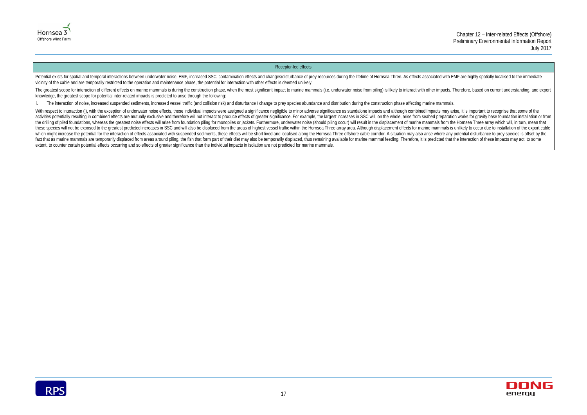



#### Receptor-led effects

Potential exists for spatial and temporal interactions between underwater noise, EMF, increased SSC, contamination effects and changes/disturbance of prey resources during the lifetime of Hornsea Three. As effects associat vicinity of the cable and are temporally restricted to the operation and maintenance phase, the potential for interaction with other effects is deemed unlikely.

The greatest scope for interaction of different effects on marine mammals is during the construction phase, when the most significant impact to marine mammals (i.e. underwater noise from piling) is likely to interact with knowledge, the greatest scope for potential inter-related impacts is predicted to arise through the following:

i. The interaction of noise, increased suspended sediments, increased vessel traffic (and collision risk) and disturbance / change to prey species abundance and distribution during the construction phase affecting marine m

With respect to interaction (i), with the exception of underwater noise effects, these individual impacts were assigned a significance negligible to minor adverse significance as standalone impacts and although combined im activities potentially resulting in combined effects are mutually exclusive and therefore will not interact to produce effects of greater significance. For example, the largest increases in SSC will, on the whole, arise fr the drilling of piled foundations, whereas the greatest noise effects will arise from foundation piling for monopiles or jackets. Furthermore, underwater noise (should piling occur) will result in the displacement of marin these species will not be exposed to the greatest predicted increases in SSC and will also be displaced from the areas of highest vessel traffic within the Hornsea Three array area. Although displacement effects for marine which might increase the potential for the interaction of effects associated with suspended sediments, these effects will be short lived and localised along the Hornsea Three offshore cable corridor. A situation may also a fact that as marine mammals are temporarily displaced from areas around piling, the fish that form part of their diet may also be temporarily displaced, thus remaining available for marine mammal feeding. Therefore, it is extent, to counter certain potential effects occurring and so effects of greater significance than the individual impacts in isolation are not predicted for marine mammals.

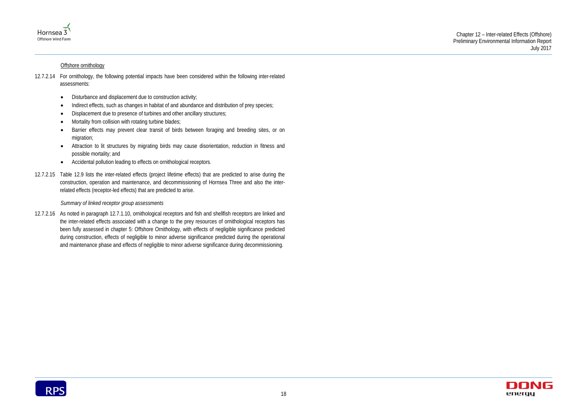



#### Offshore ornithology

- 12.7.2.14 For ornithology, the following potential impacts have been considered within the following inter-related assessments:
	- Disturbance and displacement due to construction activity;
	- Indirect effects, such as changes in habitat of and abundance and distribution of prey species;
	- Displacement due to presence of turbines and other ancillary structures;
	- Mortality from collision with rotating turbine blades;
	- Barrier effects may prevent clear transit of birds between foraging and breeding sites, or on migration;
	- Attraction to lit structures by migrating birds may cause disorientation, reduction in fitness and possible mortality; and
	- Accidental pollution leading to effects on ornithological receptors.
- 12.7.2.15 Table 12.9 lists the inter-related effects (project lifetime effects) that are predicted to arise during the construction, operation and maintenance, and decommissioning of Hornsea Three and also the interrelated effects (receptor-led effects) that are predicted to arise.

#### *Summary of linked receptor group assessments*

12.7.2.16 As noted in paragraph [12.7.1.10,](#page-9-1) ornithological receptors and fish and shellfish receptors are linked and the inter-related effects associated with a change to the prey resources of ornithological receptors has been fully assessed in chapter 5: Offshore Ornithology, with effects of negligible significance predicted during construction, effects of negligible to minor adverse significance predicted during the operational and maintenance phase and effects of negligible to minor adverse significance during decommissioning.

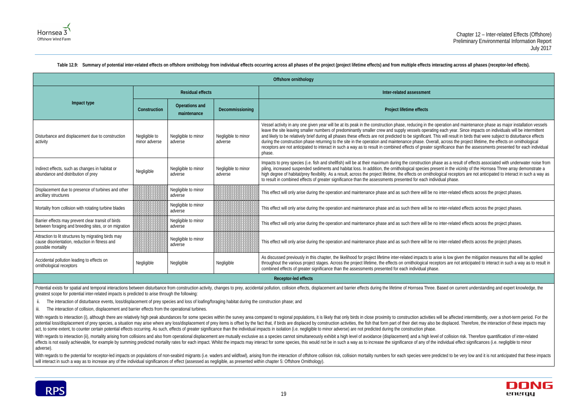ration and maintenance phase as major installation vessels ach year. Since impacts on individuals will be intermittent will result in birds that were subject to disturbance effects across the project lifetime, the effects on ornithological ificance than the assessments presented for each individual

as a result of effects associated with underwater noise from nt in the vicinity of the Hornsea Three array demonstrate a ical receptors are not anticipated to interact in such a way as

hter-related effects across the project phases.

ater-related effects across the project phases.

hter-related effects across the project phases.

ter-related effects across the project phases.

is low given the mitigation measures that will be applied interbrs are not anticipated to interact in such a way as to result in



<span id="page-23-0"></span>

|                                                                                                                             |                                |                                      |                                | Offshore ornithology                                                                                                                                                                                                                                                                                                                                                                                                                                                                                                                                                                                              |  |  |  |
|-----------------------------------------------------------------------------------------------------------------------------|--------------------------------|--------------------------------------|--------------------------------|-------------------------------------------------------------------------------------------------------------------------------------------------------------------------------------------------------------------------------------------------------------------------------------------------------------------------------------------------------------------------------------------------------------------------------------------------------------------------------------------------------------------------------------------------------------------------------------------------------------------|--|--|--|
|                                                                                                                             |                                | <b>Residual effects</b>              |                                | Inter-related assessment                                                                                                                                                                                                                                                                                                                                                                                                                                                                                                                                                                                          |  |  |  |
| Impact type                                                                                                                 | Construction                   | <b>Operations and</b><br>maintenance | Decommissioning                | Project lifetime effects                                                                                                                                                                                                                                                                                                                                                                                                                                                                                                                                                                                          |  |  |  |
| Disturbance and displacement due to construction<br>activity                                                                | Negligible to<br>minor adverse | Negligible to minor<br>adverse       | Negligible to minor<br>adverse | Vessel activity in any one given year will be at its peak in the construction phase, reducing in the operation and<br>leave the site leaving smaller numbers of predominantly smaller crew and supply vessels operating each year.<br>and likely to be relatively brief during all phases these effects are not predicted to be significant. This will result<br>during the construction phase returning to the site in the operation and maintenance phase. Overall, across the<br>receptors are not anticipated to interact in such a way as to result in combined effects of greater significance th<br>phase. |  |  |  |
| Indirect effects, such as changes in habitat or<br>abundance and distribution of prey                                       | Negligible                     | Negligible to minor<br>adverse       | Negligible to minor<br>adverse | Impacts to prey species (i.e. fish and shellfish) will be at their maximum during the construction phase as a res<br>piling, increased suspended sediments and habitat loss. In addition, the ornithological species present in the vi<br>high degree of habitat/prey flexibility. As a result, across the project lifetime, the effects on ornithological recept<br>to result in combined effects of greater significance than the assessments presented for each individual phase.                                                                                                                              |  |  |  |
| Displacement due to presence of turbines and other<br>ancillary structures                                                  |                                | Negligible to minor<br>adverse       |                                | This effect will only arise during the operation and maintenance phase and as such there will be no inter-relate                                                                                                                                                                                                                                                                                                                                                                                                                                                                                                  |  |  |  |
| Mortality from collision with rotating turbine blades                                                                       |                                | Negligible to minor<br>adverse       |                                | This effect will only arise during the operation and maintenance phase and as such there will be no inter-relate                                                                                                                                                                                                                                                                                                                                                                                                                                                                                                  |  |  |  |
| Barrier effects may prevent clear transit of birds<br>between foraging and breeding sites, or on migration                  |                                | Negligible to minor<br>adverse       |                                | This effect will only arise during the operation and maintenance phase and as such there will be no inter-relate                                                                                                                                                                                                                                                                                                                                                                                                                                                                                                  |  |  |  |
| Attraction to lit structures by migrating birds may<br>cause disorientation, reduction in fitness and<br>possible mortality |                                | Negligible to minor<br>adverse       |                                | This effect will only arise during the operation and maintenance phase and as such there will be no inter-relate                                                                                                                                                                                                                                                                                                                                                                                                                                                                                                  |  |  |  |
| Accidental pollution leading to effects on<br>ornithological receptors                                                      | Negligible                     | Negligible                           | Negligible                     | As discussed previously in this chapter, the likelihood for project lifetime inter-related impacts to arise is low giv<br>throughout the various project stages. Across the project lifetime, the effects on ornithological receptors are no<br>combined effects of greater significance than the assessments presented for each individual phase.                                                                                                                                                                                                                                                                |  |  |  |
| Receptor-led effects                                                                                                        |                                |                                      |                                |                                                                                                                                                                                                                                                                                                                                                                                                                                                                                                                                                                                                                   |  |  |  |

#### Table 12.9: Summary of potential inter-related effects on offshore ornithology from individual effects occurring across all phases of the project (project lifetime effects) and from multiple effects interacting across all

Potential exists for spatial and temporal interactions between disturbance from construction activity, changes to prey, accidental pollution, collision effects, displacement and barrier effects during the lifetime of Horns greatest scope for potential inter-related impacts is predicted to arise through the following:

With regards to interaction (ii), mortality arising from collisions and also from operational displacement are mutually exclusive as a species cannot simultaneously exhibit a high level of avoidance (displacement) and a hi effects is not easily achievable, for example by summing predicted mortality rates for each impact. Whilst the impacts may interact for some species, this would not be in such a way as to increase the significance of any o adverse).

With regards to the potential for receptor-led impacts on populations of non-seabird migrants (i.e. waders and wildfowl), arising from the interaction of offshore collision risk, collision mortality numbers for each specie will interact in such a way as to increase any of the individual significances of effect (assessed as negligible, as presented within chapter 5: Offshore Ornithology).



ii. The interaction of disturbance events, loss/displacement of prey species and loss of loafing/foraging habitat during the construction phase; and

iii. The interaction of collision, displacement and barrier effects from the operational turbines.

With regards to interaction (i), although there are relatively high peak abundances for some species within the survey area compared to regional populations, it is likely that only birds in close proximity to construction potential loss/displacement of prey species, a situation may arise where any loss/displacement of prey items is offset by the fact that, if birds are displaced by construction activities, the fish that form part of their d act, to some extent, to counter certain potential effects occurring. As such, effects of greater significance than the individual impacts in isolation (i.e. negligible to minor adverse) are not predicted during the constru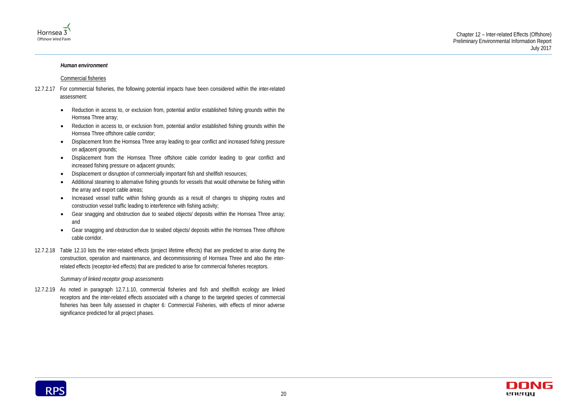



#### *Human environment*

#### Commercial fisheries

- 12.7.2.17 For commercial fisheries, the following potential impacts have been considered within the inter-related assessment:
	- Reduction in access to, or exclusion from, potential and/or established fishing grounds within the Hornsea Three array;
	- Reduction in access to, or exclusion from, potential and/or established fishing grounds within the Hornsea Three offshore cable corridor;
	- Displacement from the Hornsea Three array leading to gear conflict and increased fishing pressure on adjacent grounds;
	- Displacement from the Hornsea Three offshore cable corridor leading to gear conflict and increased fishing pressure on adjacent grounds;
	- Displacement or disruption of commercially important fish and shellfish resources;
	- Additional steaming to alternative fishing grounds for vessels that would otherwise be fishing within the array and export cable areas;
	- Increased vessel traffic within fishing grounds as a result of changes to shipping routes and construction vessel traffic leading to interference with fishing activity;
	- Gear snagging and obstruction due to seabed objects/ deposits within the Hornsea Three array; and
	- Gear snagging and obstruction due to seabed objects/ deposits within the Hornsea Three offshore cable corridor.
- 12.7.2.18 Table 12.10 lists the inter-related effects (project lifetime effects) that are predicted to arise during the construction, operation and maintenance, and decommissioning of Hornsea Three and also the interrelated effects (receptor-led effects) that are predicted to arise for commercial fisheries receptors.

#### *Summary of linked receptor group assessments*

12.7.2.19 As noted in paragraph [12.7.1.10,](#page-9-1) commercial fisheries and fish and shellfish ecology are linked receptors and the inter-related effects associated with a change to the targeted species of commercial fisheries has been fully assessed in chapter 6: Commercial Fisheries, with effects of minor adverse significance predicted for all project phases.

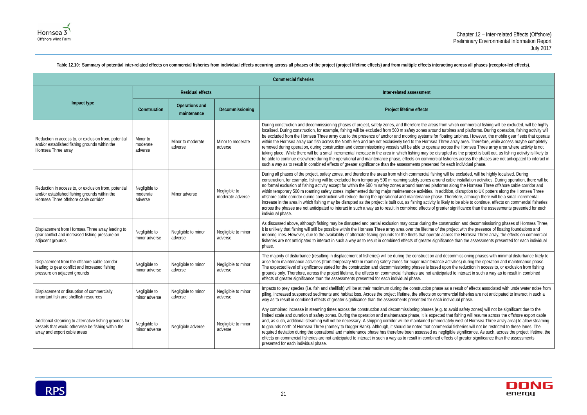om which commercial fishing will be excluded, will be highly turbines and platforms. During operation, fishing activity will oating turbines. However, the mobile gear fleets that operate hree array area. Therefore, while access maybe completely across the Hornsea Three array area where activity is not upted as the project is built out, as fishing activity is likely to fisheries across the phases are not anticipated to interact in or each individual phase.

guril be excluded, will be highly localised. During nd cable installation activities. During operation, there will be rms along the Hornsea Three offshore cable corridor and ddition, disruption to UK potters along the Hornsea Three Therefore, although there will be a small incremental likely to be able to continue, effects on commercial fisheries ater significance than the assessments presented for each

onstruction and decommissioning phases of Hornsea Three, he project with the presence of floating foundations and across the Hornsea Three array, the effects on commercial ficance than the assessments presented for each individual

I decommissioning phases with minimal disturbance likely to e activities) during the operation and maintenance phase. upon the reduction in access to, or exclusion from fishing pated to interact in such a way as to result in combined

as a result of effects associated with underwater noise from mmercial fisheries are not anticipated to interact in such a in dividual phase.

to avoid safety zones) will not be significant due to the ed that fishing will resume across the offshore export cable ediately west of Hornsea Three array area) to allow steaming nercial fisheries will not be restricted to these lanes. The egligible significance. As such, across the project lifetime, the effects of greater significance than the assessments



<span id="page-25-0"></span>

| <b>Commercial fisheries</b>                                                                                                                    |                                      |                                |                                   |                                                                                                                                                                                                                                                                                                                                                                                                                                                                                                                                                                                                                                                                                                                                                                                                                                                                |  |  |  |
|------------------------------------------------------------------------------------------------------------------------------------------------|--------------------------------------|--------------------------------|-----------------------------------|----------------------------------------------------------------------------------------------------------------------------------------------------------------------------------------------------------------------------------------------------------------------------------------------------------------------------------------------------------------------------------------------------------------------------------------------------------------------------------------------------------------------------------------------------------------------------------------------------------------------------------------------------------------------------------------------------------------------------------------------------------------------------------------------------------------------------------------------------------------|--|--|--|
|                                                                                                                                                |                                      | <b>Residual effects</b>        |                                   | Inter-related assessment                                                                                                                                                                                                                                                                                                                                                                                                                                                                                                                                                                                                                                                                                                                                                                                                                                       |  |  |  |
| Impact type                                                                                                                                    | Construction                         | Operations and<br>maintenance  | Decommissioning                   | Project lifetime effects                                                                                                                                                                                                                                                                                                                                                                                                                                                                                                                                                                                                                                                                                                                                                                                                                                       |  |  |  |
| Reduction in access to, or exclusion from, potential<br>and/or established fishing grounds within the<br>Hornsea Three array                   | Minor to<br>moderate<br>adverse      | Minor to moderate<br>adverse   | Minor to moderate<br>adverse      | During construction and decommissioning phases of project, safety zones, and therefore the areas fro<br>localised. During construction, for example, fishing will be excluded from 500 m safety zones around t<br>be excluded from the Hornsea Three array due to the presence of anchor and mooring systems for flo<br>within the Hornsea array can fish across the North Sea and are not exclusively tied to the Hornsea Th<br>removed during operation, during construction and decommissioning vessels will be able to operate a<br>taking place. While there will be a small incremental increase in the area in which fishing may be disru<br>be able to continue elsewhere during the operational and maintenance phase, effects on commercial<br>such a way as to result in combined effects of greater significance than the assessments presented fo |  |  |  |
| Reduction in access to, or exclusion from, potential<br>and/or established fishing grounds within the<br>Hornsea Three offshore cable corridor | Negligible to<br>moderate<br>adverse | Minor adverse                  | Negligible to<br>moderate adverse | During all phases of the project, safety zones, and therefore the areas from which commercial fishing<br>construction, for example, fishing will be excluded from temporary 500 m roaming safety zones aroun<br>no formal exclusion of fishing activity except for within the 500 m safety zones around manned platfor<br>within temporary 500 m roaming safety zones implemented during major maintenance activities. In ad<br>offshore cable corridor during construction will reduce during the operational and maintenance phase.<br>increase in the area in which fishing may be disrupted as the project is built out, as fishing activity is li<br>across the phases are not anticipated to interact in such a way as to result in combined effects of great<br>individual phase.                                                                       |  |  |  |
| Displacement from Hornsea Three array leading to<br>gear conflict and increased fishing pressure on<br>adjacent grounds                        | Negligible to<br>minor adverse       | Negligible to minor<br>adverse | Negligible to minor<br>adverse    | As discussed above, although fishing may be disrupted and partial exclusion may occur during the co<br>it is unlikely that fishing will still be possible within the Hornsea Three array area over the lifetime of th<br>mooring lines. However, due to the availability of alternate fishing grounds for the fleets that operate a<br>fisheries are not anticipated to interact in such a way as to result in combined effects of greater signifi<br>phase.                                                                                                                                                                                                                                                                                                                                                                                                   |  |  |  |
| Displacement from the offshore cable corridor<br>leading to gear conflict and increased fishing<br>pressure on adjacent grounds                | Negligible to<br>minor adverse       | Negligible to minor<br>adverse | Negligible to minor<br>adverse    | The majority of disturbance (resulting in displacement of fisheries) will be during the construction and<br>arise from maintenance activities (from temporary 500 m roaming safety zones for major maintenance<br>The expected level of significance stated for the construction and decommissioning phases is based u<br>grounds only. Therefore, across the project lifetime, the effects on commercial fisheries are not anticip<br>effects of greater significance than the assessments presented for each individual phase.                                                                                                                                                                                                                                                                                                                               |  |  |  |
| Displacement or disruption of commercially<br>important fish and shellfish resources                                                           | Negligible to<br>minor adverse       | Negligible to minor<br>adverse | Negligible to minor<br>adverse    | Impacts to prey species (i.e. fish and shellfish) will be at their maximum during the construction phase<br>piling, increased suspended sediments and habitat loss. Across the project lifetime, the effects on cor<br>way as to result in combined effects of greater significance than the assessments presented for each                                                                                                                                                                                                                                                                                                                                                                                                                                                                                                                                    |  |  |  |
| Additional steaming to alternative fishing grounds for<br>vessels that would otherwise be fishing within the<br>array and export cable areas   | Negligible to<br>minor adverse       | Negligible adverse             | Negligible to minor<br>adverse    | Any combined increase in steaming times across the construction and decommissioning phases (e.g.<br>limited scale and duration of safety zones. During the operation and maintenance phase, it is expecte<br>and, as such, additional steaming will not be necessary. A shipping corridor will be maintained (immed<br>to grounds north of Hornsea Three (namely to Dogger Bank). Although, it should be noted that comme<br>required deviation during the operational and maintenance phase has therefore been assessed as ne<br>effects on commercial fisheries are not anticipated to interact in such a way as to result in combined e<br>presented for each individual phase.                                                                                                                                                                             |  |  |  |

Table 12.10: Summary of potential inter-related effects on commercial fisheries from individual effects occurring across all phases of the project (project lifetime effects) and from multiple effects interacting across all

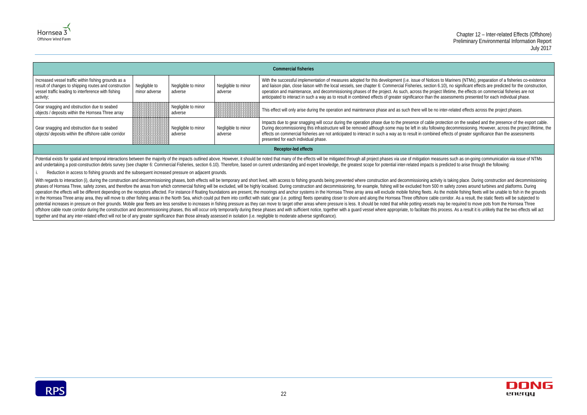Mariners (NTMs), preparation of a fisheries co-existence 0), no significant effects are predicted for the construction, ifetime, the effects on commercial fisheries are not ssessments presented for each individual phase.

ter-related effects across the project phases.

ection on the seabed and the presence of the export cable. g decommissioning. However, across the project lifetime, the ffects of greater significance than the assessments





|                                                                                                                                                                                   |                                |                                |                                | <b>Commercial fisheries</b>                                                                                                                                                                                                                                                                                                                                                                                                            |  |
|-----------------------------------------------------------------------------------------------------------------------------------------------------------------------------------|--------------------------------|--------------------------------|--------------------------------|----------------------------------------------------------------------------------------------------------------------------------------------------------------------------------------------------------------------------------------------------------------------------------------------------------------------------------------------------------------------------------------------------------------------------------------|--|
| Increased vessel traffic within fishing grounds as a<br>result of changes to shipping routes and construction<br>vessel traffic leading to interference with fishing<br>activity; | Negligible to<br>minor adverse | Negligible to minor<br>adverse | Negligible to minor<br>adverse | With the successful implementation of measures adopted for this development (i.e. issue of Notices to<br>and liaison plan, close liaison with the local vessels, see chapter 6: Commercial Fisheries, section 6.1<br>operation and maintenance, and decommissioning phases of the project. As such, across the project I<br>anticipated to interact in such a way as to result in combined effects of greater significance than the as |  |
| Gear snagging and obstruction due to seabed<br>objects / deposits within the Hornsea Three array                                                                                  |                                | Negligible to minor<br>adverse |                                | This effect will only arise during the operation and maintenance phase and as such there will be no int                                                                                                                                                                                                                                                                                                                                |  |
| Gear snagging and obstruction due to seabed<br>objects/ deposits within the offshore cable corridor                                                                               |                                | Negligible to minor<br>adverse | Negligible to minor<br>adverse | Impacts due to gear snagging will occur during the operation phase due to the presence of cable prote<br>During decommissioning this infrastructure will be removed although some may be left in situ following<br>effects on commercial fisheries are not anticipated to interact in such a way as to result in combined e<br>presented for each individual phase.                                                                    |  |
| <b>Receptor-led effects</b>                                                                                                                                                       |                                |                                |                                |                                                                                                                                                                                                                                                                                                                                                                                                                                        |  |

Potential exists for spatial and temporal interactions between the majority of the impacts outlined above. However, it should be noted that many of the effects will be mitigated through all project phases via use of mitiga and undertaking a post-construction debris survey (see chapter 6: Commercial Fisheries, section 6.10). Therefore, based on current understanding and expert knowledge, the greatest scope for potential inter-related impacts

With regards to interaction (i), during the construction and decommissioning phases, both effects will be temporary and short lived, with access to fishing grounds being prevented where construction and decommissioning act phases of Hornsea Three, safety zones, and therefore the areas from which commercial fishing will be excluded, will be highly localised. During construction and decommissioning, for example, fishing will be excluded from 5 operation the effects will be different depending on the receptors affected. For instance if floating foundations are present, the moorings and anchor systems in the Hornsea Three array area will exclude mobile fishing fle in the Hornsea Three array area, they will move to other fishing areas in the North Sea, which could put them into conflict with static gear (i.e. potting) fleets operating closer to shore and along the Hornsea Three offsh potential increases in pressure on their grounds. Mobile gear fleets are less sensitive to increases in fishing pressure as they can move to target other areas where pressure is less. It should be noted that while potting offshore cable route corridor during the construction and decommissioning phases, this will occur only temporarily during these phases and with sufficient notice, together with a quard vessel where appropriate, to facilita together and that any inter-related effect will not be of any greater significance than those already assessed in isolation (i.e. negligible to moderate adverse significance).



i. Reduction in access to fishing grounds and the subsequent increased pressure on adjacent grounds.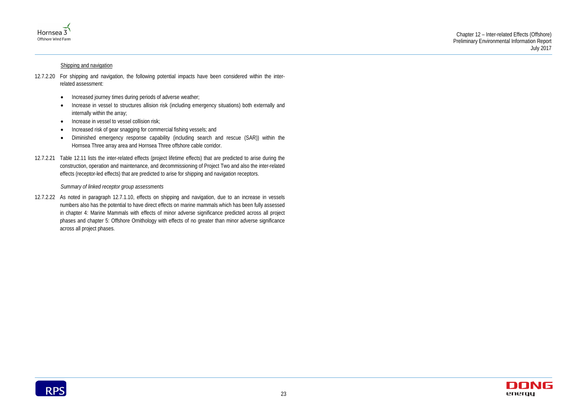



#### Shipping and navigation

- 12.7.2.20 For shipping and navigation, the following potential impacts have been considered within the interrelated assessment:
	- Increased journey times during periods of adverse weather;
	- Increase in vessel to structures allision risk (including emergency situations) both externally and internally within the array;
	- Increase in vessel to vessel collision risk;
	- Increased risk of gear snagging for commercial fishing vessels; and
	- Diminished emergency response capability (including search and rescue (SAR)) within the Hornsea Three array area and Hornsea Three offshore cable corridor.
- 12.7.2.21 Table 12.11 lists the inter-related effects (project lifetime effects) that are predicted to arise during the construction, operation and maintenance, and decommissioning of Project Two and also the inter-related effects (receptor-led effects) that are predicted to arise for shipping and navigation receptors.

#### *Summary of linked receptor group assessments*

12.7.2.22 As noted in paragraph [12.7.1.10,](#page-9-1) effects on shipping and navigation, due to an increase in vessels numbers also has the potential to have direct effects on marine mammals which has been fully assessed in chapter 4: Marine Mammals with effects of minor adverse significance predicted across all project phases and chapter 5: Offshore Ornithology with effects of no greater than minor adverse significance across all project phases.

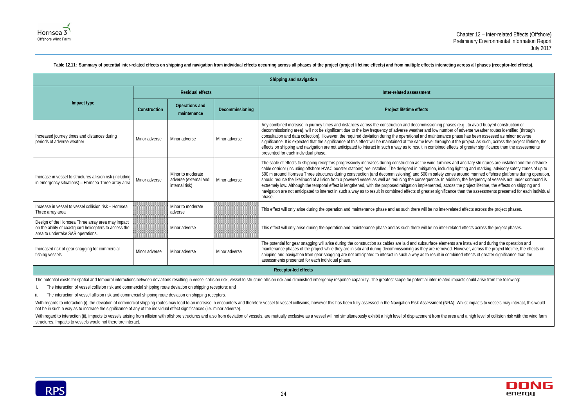phases (e.g., to avoid buoyed construction or umber of adverse weather routes identified (through ance phase has been assessed as minor adverse ighout the project. As such, across the project lifetime, the ed effects of greater significance than the assessments

bines and ancillary structures are installed and the offshore cluding lighting and marking, advisory safety zones of up to zones around manned offshore platforms during operation, n addition, the frequency of vessels not under command is across the project lifetime, the effects on shipping and ificance than the assessments presented for each individual

ter-related effects across the project phases.

ter-related effects across the project phases.

ements are installed and during the operation and noved. However, across the project lifetime, the effects on i combined effects of greater significance than the



<span id="page-28-0"></span>

|                                                                                                                                                  |               |                                                              |                 | Shipping and navigation                                                                                                                                                                                                                                                                                                                                                                                                                                                                                                                                                                                                                                           |
|--------------------------------------------------------------------------------------------------------------------------------------------------|---------------|--------------------------------------------------------------|-----------------|-------------------------------------------------------------------------------------------------------------------------------------------------------------------------------------------------------------------------------------------------------------------------------------------------------------------------------------------------------------------------------------------------------------------------------------------------------------------------------------------------------------------------------------------------------------------------------------------------------------------------------------------------------------------|
|                                                                                                                                                  |               | <b>Residual effects</b>                                      |                 | Inter-related assessment                                                                                                                                                                                                                                                                                                                                                                                                                                                                                                                                                                                                                                          |
| Impact type                                                                                                                                      | Construction  | <b>Operations and</b><br>maintenance                         | Decommissioning | Project lifetime effects                                                                                                                                                                                                                                                                                                                                                                                                                                                                                                                                                                                                                                          |
| Increased journey times and distances during<br>periods of adverse weather                                                                       | Minor adverse | Minor adverse                                                | Minor adverse   | Any combined increase in journey times and distances across the construction and decommissioning<br>decommissioning area), will not be significant due to the low frequency of adverse weather and low nu<br>consultation and data collection). However, the required deviation during the operational and maintena<br>significance. It is expected that the significance of this effect will be maintained at the same level throu<br>effects on shipping and navigation are not anticipated to interact in such a way as to result in combine<br>presented for each individual phase.                                                                           |
| Increase in vessel to structures allision risk (including<br>in emergency situations) - Hornsea Three array area                                 | Minor adverse | Minor to moderate<br>adverse (external and<br>internal risk) | Minor adverse   | The scale of effects to shipping receptors progressively increases during construction as the wind turb<br>cable corridor (including offshore HVAC booster stations) are installed. The designed in mitigation, inc<br>500 m around Hornsea Three structures during construction (and decommissioning) and 500 m safety<br>should reduce the likelihood of allision from a powered vessel as well as reducing the consequence. In<br>extremely low. Although the temporal effect is lengthened, with the proposed mitigation implemented,<br>navigation are not anticipated to interact in such a way as to result in combined effects of greater signi<br>phase. |
| Increase in vessel to vessel collision risk - Hornsea<br>Three array area                                                                        |               | Minor to moderate<br>adverse                                 |                 | This effect will only arise during the operation and maintenance phase and as such there will be no int                                                                                                                                                                                                                                                                                                                                                                                                                                                                                                                                                           |
| Design of the Hornsea Three array area may impact<br>on the ability of coastguard helicopters to access the<br>area to undertake SAR operations. |               | Minor adverse                                                |                 | This effect will only arise during the operation and maintenance phase and as such there will be no int                                                                                                                                                                                                                                                                                                                                                                                                                                                                                                                                                           |
| Increased risk of gear snagging for commercial<br>fishing vessels                                                                                | Minor adverse | Minor adverse                                                | Minor adverse   | The potential for gear snagging will arise during the construction as cables are laid and subsurface ele<br>maintenance phases of the project while they are in situ and during decommissioning as they are rem<br>shipping and navigation from gear snagging are not anticipated to interact in such a way as to result ir<br>assessments presented for each individual phase.                                                                                                                                                                                                                                                                                   |
|                                                                                                                                                  |               |                                                              |                 | Receptor-led effects                                                                                                                                                                                                                                                                                                                                                                                                                                                                                                                                                                                                                                              |

#### Table 12.11: Summary of potential inter-related effects on shipping and navigation from individual effects occurring across all phases of the project (project lifetime effects) and from multiple effects interacting across

The potential exists for spatial and temporal interactions between deviations resulting in vessel collision risk, vessel to structure allision risk and diminished emergency response capability. The greatest scope for poten

With regards to interaction (i), the deviation of commercial shipping routes may lead to an increase in encounters and therefore vessel to vessel collisions, however this has been fully assessed in the Navigation Risk Asse not be in such a way as to increase the significance of any of the individual effect significances (i.e. minor adverse).

With regard to interaction (ii), impacts to vessels arising from allision with offshore structures and also from deviation of vessels, are mutually exclusive as a vessel will not simultaneously exhibit a high level of disp structures. Impacts to vessels would not therefore interact.



i. The interaction of vessel collision risk and commercial shipping route deviation on shipping receptors; and

ii. The interaction of vessel allision risk and commercial shipping route deviation on shipping receptors.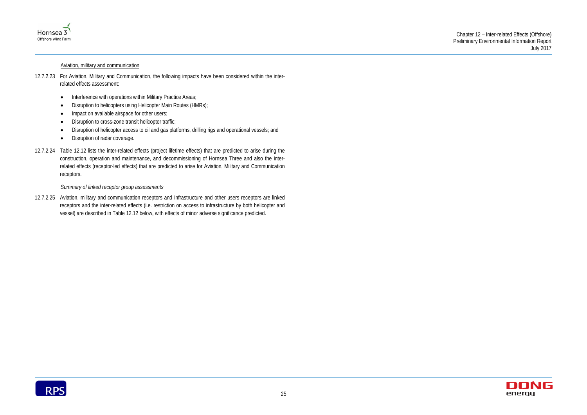



#### Aviation, military and communication

- 12.7.2.23 For Aviation, Military and Communication, the following impacts have been considered within the interrelated effects assessment:
	- Interference with operations within Military Practice Areas;
	- Disruption to helicopters using Helicopter Main Routes (HMRs);
	- Impact on available airspace for other users;
	- Disruption to cross-zone transit helicopter traffic;
	- Disruption of helicopter access to oil and gas platforms, drilling rigs and operational vessels; and
	- Disruption of radar coverage.
- 12.7.2.24 [Table 12.12](#page-30-0) lists the inter-related effects (project lifetime effects) that are predicted to arise during the construction, operation and maintenance, and decommissioning of Hornsea Three and also the interrelated effects (receptor-led effects) that are predicted to arise for Aviation, Military and Communication receptors.

*Summary of linked receptor group assessments*

12.7.2.25 Aviation, military and communication receptors and Infrastructure and other users receptors are linked receptors and the inter-related effects (i.e. restriction on access to infrastructure by both helicopter and vessel) are described in [Table 12.12](#page-30-0) below, with effects of minor adverse significance predicted.

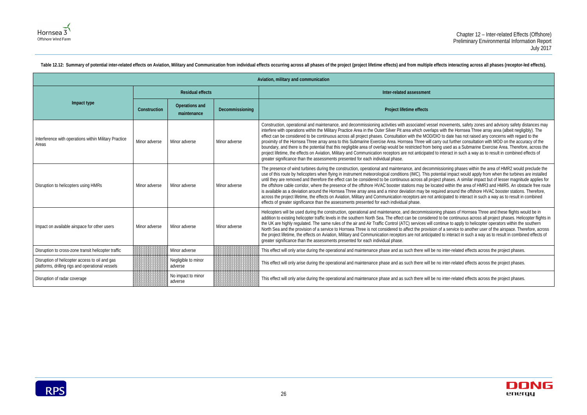

<span id="page-30-0"></span>Table 12.12: Summary of potential inter-related effects on Aviation, Military and Communication from individual effects occurring across all phases of the project (project lifetime effects) and from multiple effects intera

#### Chapter 12 – Inter-related Effects (Offshore) Preliminary Environmental Information Report July 2017

novements, safety zones and advisory safety distances may vith the Hornsea Three array area (albeit negligibly). The to date has not raised any concerns with regard to the out further consultation with MOD on the accuracy of the used as a Submarine Exercise Area. Therefore, across the iteract in such a way as to result in combined effects of

sioning phases within the area of HMR2 would preclude the tial impact would apply from when the turbines are installed phases. A similar impact but of lesser magnitude applies for t within the area of HMR3 and HMR5. An obstacle free route ed around the offshore HVAC booster stations. Therefore, cipated to interact in such a way as to result in combined

phases of Hornsea Three and these flights would be in be continuous across all project phases. Helicopter flights in inue to apply to helicopter operators within the southern a service to another user of the airspace. Therefore, across to interact in such a way as to result in combined effects of

inter-related effects across the project phases.

inter-related effects across the project phases.

inter-related effects across the project phases.



| Aviation, military and communication                                                               |               |                                |                 |                                                                                                                                                                                                                                                                                                                                                                                                                                                                                                                                                                                                                                                                                                                                                     |  |  |  |
|----------------------------------------------------------------------------------------------------|---------------|--------------------------------|-----------------|-----------------------------------------------------------------------------------------------------------------------------------------------------------------------------------------------------------------------------------------------------------------------------------------------------------------------------------------------------------------------------------------------------------------------------------------------------------------------------------------------------------------------------------------------------------------------------------------------------------------------------------------------------------------------------------------------------------------------------------------------------|--|--|--|
|                                                                                                    |               | <b>Residual effects</b>        |                 | Inter-related assessment                                                                                                                                                                                                                                                                                                                                                                                                                                                                                                                                                                                                                                                                                                                            |  |  |  |
| Impact type                                                                                        | Construction  | Operations and<br>maintenance  | Decommissioning | Project lifetime effects                                                                                                                                                                                                                                                                                                                                                                                                                                                                                                                                                                                                                                                                                                                            |  |  |  |
| Interference with operations within Military Practice<br>Areas                                     | Minor adverse | Minor adverse                  | Minor adverse   | Construction, operational and maintenance, and decommissioning activities with associated vessel mo<br>interfere with operations within the Military Practice Area in the Outer Silver Pit area which overlaps wi<br>effect can be considered to be continuous across all project phases. Consultation with the MOD/DIO to<br>proximity of the Hornsea Three array area to this Submarine Exercise Area. Hornsea Three will carry<br>boundary, and there is the potential that this negligible area of overlap would be restricted from being<br>project lifetime, the effects on Aviation, Military and Communication receptors are not anticipated to in<br>greater significance than the assessments presented for each individual phase.        |  |  |  |
| Disruption to helicopters using HMRs                                                               | Minor adverse | Minor adverse                  | Minor adverse   | The presence of wind turbines during the construction, operational and maintenance, and decommissi<br>use of this route by helicopters when flying in instrument meteorological conditions (IMC). This potenti<br>until they are removed and therefore the effect can be considered to be continuous across all project p<br>the offshore cable corridor, where the presence of the offshore HVAC booster stations may be located<br>is available as a deviation around the Hornsea Three array area and a minor deviation may be require<br>across the project lifetime, the effects on Aviation, Military and Communication receptors are not antici<br>effects of greater significance than the assessments presented for each individual phase. |  |  |  |
| Impact on available airspace for other users                                                       | Minor adverse | Minor adverse                  | Minor adverse   | Helicopters will be used during the construction, operational and maintenance, and decommissioning<br>addition to existing helicopter traffic levels in the southern North Sea. The effect can be considered to<br>the UK are highly regulated. The same rules of the air and Air Traffic Control (ATC) services will contir<br>North Sea and the provision of a service to Hornsea Three is not considered to affect the provision of<br>the project lifetime, the effects on Aviation, Military and Communication receptors are not anticipated t<br>greater significance than the assessments presented for each individual phase.                                                                                                               |  |  |  |
| Disruption to cross-zone transit helicopter traffic                                                |               | Minor adverse                  |                 | This effect will only arise during the operational and maintenance phase and as such there will be no i                                                                                                                                                                                                                                                                                                                                                                                                                                                                                                                                                                                                                                             |  |  |  |
| Disruption of helicopter access to oil and gas<br>platforms, drilling rigs and operational vessels |               | Negligible to minor<br>adverse |                 | This effect will only arise during the operational and maintenance phase and as such there will be no i                                                                                                                                                                                                                                                                                                                                                                                                                                                                                                                                                                                                                                             |  |  |  |
| Disruption of radar coverage                                                                       |               | No impact to minor<br>adverse  |                 | This effect will only arise during the operational and maintenance phase and as such there will be no i                                                                                                                                                                                                                                                                                                                                                                                                                                                                                                                                                                                                                                             |  |  |  |

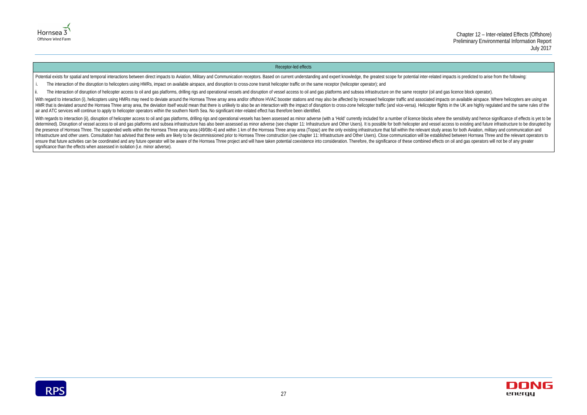



#### Receptor-led effects

Potential exists for spatial and temporal interactions between direct impacts to Aviation, Military and Communication receptors. Based on current understanding and expert knowledge, the greatest scope for potential inter-r

- i. The interaction of the disruption to helicopters using HMRs, impact on available airspace, and disruption to cross-zone transit helicopter traffic on the same receptor (helicopter operator); and
- ii. The interaction of disruption of helicopter access to oil and gas platforms, drilling rigs and operational vessels and disruption of vessel access to oil and gas platforms and subsea infrastructure on the same receptor

With regard to interaction (i), helicopters using HMRs may need to deviate around the Hornsea Three array area and/or offshore HVAC booster stations and may also be affected by increased helicopter traffic and associated i HMR that is deviated around the Hornsea Three array area, the deviation itself would mean that there is unlikely to also be an interaction with the impact of disruption to cross-zone helicopter traffic (and vice-versa). He air and ATC services will continue to apply to helicopter operators within the southern North Sea. No significant inter-related effect has therefore been identified.

With regards to interaction (ii), disruption of helicopter access to oil and gas platforms, drilling rigs and operational vessels has been assessed as minor adverse (with a 'Hold' currently included for a number of licence determined). Disruption of vessel access to oil and gas platforms and subsea infrastructure has also been assessed as minor adverse (see chapter 11: Infrastructure and Other Users). It is possible for both helicopter and v the presence of Hornsea Three. The suspended wells within the Hornsea Three array area (49/08c-4) and within 1 km of the Hornsea Three array area (Topaz) are the only existing infrastructure that fall within the relevant s Infrastructure and other users. Consultation has advised that these wells are likely to be decommissioned prior to Hornsea Three construction (see chapter 11: Infrastructure and Other Users). Close communication will be es ensure that future activities can be coordinated and any future operator will be aware of the Hornsea Three project and will have taken potential coexistence into consideration. Therefore, the significance of these combine significance than the effects when assessed in isolation (i.e. minor adverse).

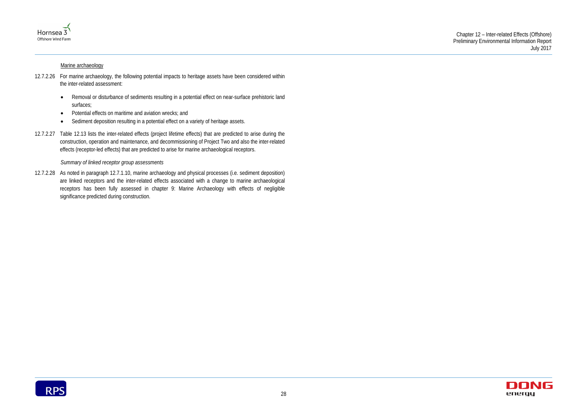

#### Marine archaeology

### Chapter 12 – Inter-related Effects (Offshore) Preliminary Environmental Information Report July 2017



- 12.7.2.26 For marine archaeology, the following potential impacts to heritage assets have been considered within the inter-related assessment:
	- Removal or disturbance of sediments resulting in a potential effect on near-surface prehistoric land surfaces;
	- Potential effects on maritime and aviation wrecks; and
	- Sediment deposition resulting in a potential effect on a variety of heritage assets.
- 12.7.2.27 Table 12.13 lists the inter-related effects (project lifetime effects) that are predicted to arise during the construction, operation and maintenance, and decommissioning of Project Two and also the inter-related effects (receptor-led effects) that are predicted to arise for marine archaeological receptors.

#### *Summary of linked receptor group assessments*

12.7.2.28 As noted in paragraph [12.7.1.10,](#page-9-1) marine archaeology and physical processes (i.e. sediment deposition) are linked receptors and the inter-related effects associated with a change to marine archaeological receptors has been fully assessed in chapter 9: Marine Archaeology with effects of negligible significance predicted during construction.

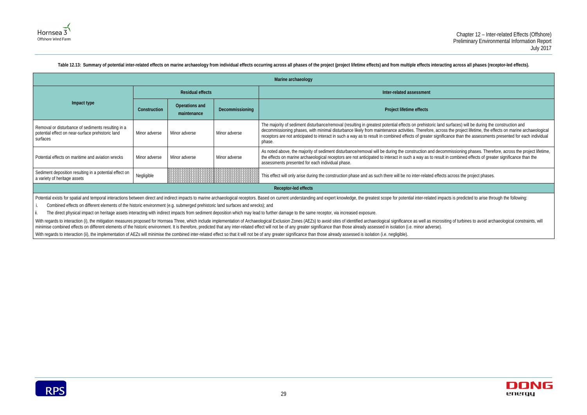ad surfaces) will be during the construction and becommissions the project lifetime, the effects on marine archaeological icance than the assessments presented for each individual

ommissioning phases. Therefore, across the project lifetime, t in combined effects of greater significance than the



<span id="page-33-0"></span>

|                                                                                                                     |               |                               |                 | Marine archaeology                                                                                                                                                                                                                                                                                                                                                                                                               |  |  |  |
|---------------------------------------------------------------------------------------------------------------------|---------------|-------------------------------|-----------------|----------------------------------------------------------------------------------------------------------------------------------------------------------------------------------------------------------------------------------------------------------------------------------------------------------------------------------------------------------------------------------------------------------------------------------|--|--|--|
|                                                                                                                     |               | <b>Residual effects</b>       |                 | Inter-related assessment                                                                                                                                                                                                                                                                                                                                                                                                         |  |  |  |
| Impact type                                                                                                         | Construction  | Operations and<br>maintenance | Decommissioning | Project lifetime effects                                                                                                                                                                                                                                                                                                                                                                                                         |  |  |  |
| Removal or disturbance of sediments resulting in a<br>potential effect on near-surface prehistoric land<br>surfaces | Minor adverse | Minor adverse                 | Minor adverse   | The majority of sediment disturbance/removal (resulting in greatest potential effects on prehistoric land surfaces) will be during the<br>decommissioning phases, with minimal disturbance likely from maintenance activities. Therefore, across the project lifetime, the ef<br>receptors are not anticipated to interact in such a way as to result in combined effects of greater significance than the assessments<br>phase. |  |  |  |
| Potential effects on maritime and aviation wrecks                                                                   | Minor adverse | Minor adverse                 | Minor adverse   | As noted above, the majority of sediment disturbance/removal will be during the construction and decommissioning phases. There<br>the effects on marine archaeological receptors are not anticipated to interact in such a way as to result in combined effects of grea<br>assessments presented for each individual phase.                                                                                                      |  |  |  |
| Sediment deposition resulting in a potential effect on<br>a variety of heritage assets                              | Negligible    |                               |                 | This effect will only arise during the construction phase and as such there will be no inter-related effects across the project phases                                                                                                                                                                                                                                                                                           |  |  |  |
| Receptor-led effects                                                                                                |               |                               |                 |                                                                                                                                                                                                                                                                                                                                                                                                                                  |  |  |  |

#### Table 12.13: Summary of potential inter-related effects on marine archaeology from individual effects occurring across all phases of the project (project lifetime effects) and from multiple effects interacting across all p

Potential exists for spatial and temporal interactions between direct and indirect impacts to marine archaeological receptors. Based on current understanding and expert knowledge, the greatest scope for potential inter-rel

i. Combined effects on different elements of the historic environment (e.g. submerged prehistoric land surfaces and wrecks); and

ii. The direct physical impact on heritage assets interacting with indirect impacts from sediment deposition which may lead to further damage to the same receptor, via increased exposure.

With regards to interaction (i), the mitigation measures proposed for Hornsea Three, which include implementation of Archaeological Exclusion Zones (AEZs) to avoid sites of identified archaeological significance as well as minimise combined effects on different elements of the historic environment. It is therefore, predicted that any inter-related effect will not be of any greater significance than those already assessed in isolation (i.e. m With regards to interaction (ii), the implementation of AEZs will minimise the combined inter-related effect so that it will not be of any greater significance than those already assessed is isolation (i.e. negligible).

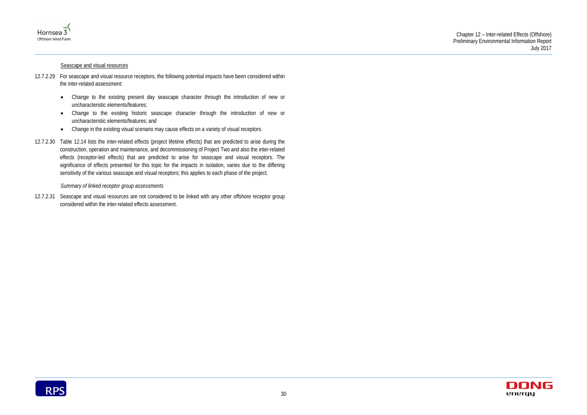

#### Seascape and visual resources

#### Chapter 12 – Inter-related Effects (Offshore) Preliminary Environmental Information Report July 2017



- 12.7.2.29 For seascape and visual resource receptors, the following potential impacts have been considered within the inter-related assessment:
	- Change to the existing present day seascape character through the introduction of new or uncharacteristic elements/features;
	- Change to the existing historic seascape character through the introduction of new or uncharacteristic elements/features; and
	- Change in the existing visual scenario may cause effects on a variety of visual receptors.
- 12.7.2.30 Table 12.14 lists the inter-related effects (project lifetime effects) that are predicted to arise during the construction, operation and maintenance, and decommissioning of Project Two and also the inter-related effects (receptor-led effects) that are predicted to arise for seascape and visual receptors. The significance of effects presented for this topic for the impacts in isolation, varies due to the differing sensitivity of the various seascape and visual receptors; this applies to each phase of the project.

*Summary of linked receptor group assessments*

12.7.2.31 Seascape and visual resources are not considered to be linked with any other offshore receptor group considered within the inter-related effects assessment.

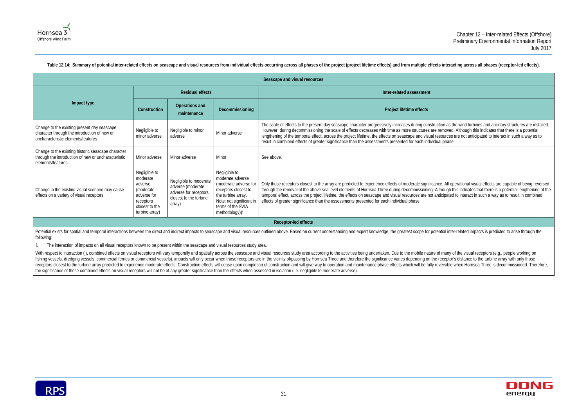Table 12.14: Summary of potential inter-related effects on seascape and visual resources from individual effects occurring across all phases of the project (project lifetime effects) and from multiple effects interacting a

#### Chapter 12 – Inter-related Effects (Offshore) Preliminary Environmental Information Report July 2017

on as the wind turbines and ancillary structures are installed. moved. Although this indicates that there is a potential lurces are not anticipated to interact in such a way as to

. All operational visual effects are capable of being reversed bugh this indicates that there is a potential lengthening of the tipated to interact in such a way as to result in combined



Potential exists for spatial and temporal interactions between the direct and indirect impacts to seascape and visual resources outlined above. Based on current understanding and expert knowledge, the greatest scope for po following:

<span id="page-35-0"></span>

|                                                                                                                                   |                                                                                                                   |                                                                                                          |                                                                                                                                                                                         | Seascape and visual resources                                                                                                                                                                                                                                                                                                                                                                                                                             |  |  |
|-----------------------------------------------------------------------------------------------------------------------------------|-------------------------------------------------------------------------------------------------------------------|----------------------------------------------------------------------------------------------------------|-----------------------------------------------------------------------------------------------------------------------------------------------------------------------------------------|-----------------------------------------------------------------------------------------------------------------------------------------------------------------------------------------------------------------------------------------------------------------------------------------------------------------------------------------------------------------------------------------------------------------------------------------------------------|--|--|
|                                                                                                                                   |                                                                                                                   | <b>Residual effects</b>                                                                                  |                                                                                                                                                                                         | Inter-related assessment                                                                                                                                                                                                                                                                                                                                                                                                                                  |  |  |
| Impact type                                                                                                                       | Construction                                                                                                      | <b>Operations and</b><br>maintenance                                                                     | Decommissioning                                                                                                                                                                         | Project lifetime effects                                                                                                                                                                                                                                                                                                                                                                                                                                  |  |  |
| Change to the existing present day seascape<br>character through the introduction of new or<br>uncharacteristic elements/features | Negligible to<br>minor adverse                                                                                    | Negligible to minor<br>adverse                                                                           | Minor adverse                                                                                                                                                                           | The scale of effects to the present day seascape character progressively increases during construction as th<br>However, during decommissioning the scale of effects decreases with time as more structures are removed.<br>lengthening of the temporal effect, across the project lifetime, the effects on seascape and visual resources<br>result in combined effects of greater significance than the assessments presented for each individual phase. |  |  |
| Change to the existing historic seascape character<br>through the introduction of new or uncharacteristic<br>elements/features    | Minor adverse                                                                                                     | Minor adverse                                                                                            | Minor                                                                                                                                                                                   | See above.                                                                                                                                                                                                                                                                                                                                                                                                                                                |  |  |
| Change in the existing visual scenario may cause<br>effects on a variety of visual receptors                                      | Negligible to<br>moderate<br>adverse<br>(moderate<br>adverse for<br>receptors<br>closest to the<br>turbine array) | Negligible to moderate<br>adverse (moderate<br>adverse for receptors<br>closest to the turbine<br>array) | Negligible to<br>moderate adverse<br>(moderate adverse for<br>receptors closest to<br>the turbine array.<br>Note: not significant in<br>terms of the SVIA<br>methodology)) <sup>c</sup> | Only those receptors closest to the array are predicted to experience effects of moderate significance. All op<br>through the removal of the above sea level elements of Hornsea Three during decommissioning. Although th<br>temporal effect, across the project lifetime, the effects on seascape and visual resources are not anticipated<br>effects of greater significance than the assessments presented for each individual phase.                 |  |  |
| Receptor-led effects                                                                                                              |                                                                                                                   |                                                                                                          |                                                                                                                                                                                         |                                                                                                                                                                                                                                                                                                                                                                                                                                                           |  |  |

With respect to interaction (i), combined effects on visual receptors will vary temporally and spatially across the seascape and visual resources study area according to the activities being undertaken. Due to the mobile n fishing vessels, dredging vessels, commercial ferries or commercial vessels), impacts will only occur when those receptors are in the vicinity of/passing by Hornsea Three and therefore the significance varies depending on receptors closest to the turbine array predicted to experience moderate effects. Construction effects will cease upon completion of construction and will give way to operation and maintenance phase effects which will be fu the significance of these combined effects on visual receptors will not be of any greater significance than the effects when assessed in isolation (i.e. negligible to moderate adverse).



i. The interaction of impacts on all visual receptors known to be present within the seascape and visual resources study area.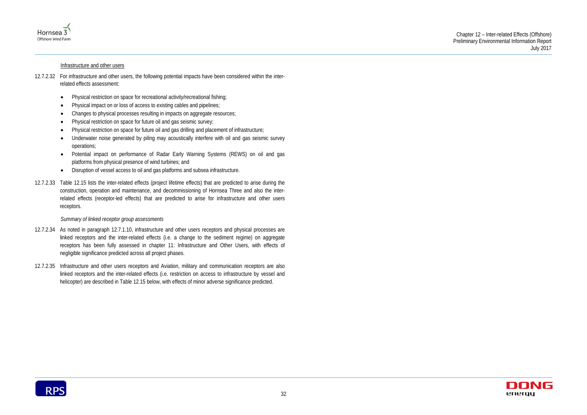



#### Infrastructure and other users

### 12.7.2.32 For infrastructure and other users, the following potential impacts have been considered within the interrelated effects assessment:

- Physical restriction on space for recreational activity/recreational fishing;
- Physical impact on or loss of access to existing cables and pipelines;
- Changes to physical processes resulting in impacts on aggregate resources;
- Physical restriction on space for future oil and gas seismic survey;
- Physical restriction on space for future oil and gas drilling and placement of infrastructure;
- Underwater noise generated by piling may acoustically interfere with oil and gas seismic survey operations;
- Potential impact on performance of Radar Early Warning Systems (REWS) on oil and gas platforms from physical presence of wind turbines; and
- Disruption of vessel access to oil and gas platforms and subsea infrastructure.
- 12.7.2.33 Table 12.15 lists the inter-related effects (project lifetime effects) that are predicted to arise during the construction, operation and maintenance, and decommissioning of Hornsea Three and also the interrelated effects (receptor-led effects) that are predicted to arise for infrastructure and other users receptors.

#### *Summary of linked receptor group assessments*

- 12.7.2.34 As noted in paragraph [12.7.1.10,](#page-9-1) infrastructure and other users receptors and physical processes are linked receptors and the inter-related effects (i.e. a change to the sediment regime) on aggregate receptors has been fully assessed in chapter 11: Infrastructure and Other Users, with effects of negligible significance predicted across all project phases.
- 12.7.2.35 Infrastructure and other users receptors and Aviation, military and communication receptors are also linked receptors and the inter-related effects (i.e. restriction on access to infrastructure by vessel and helicopter) are described in [Table 12.15](#page-37-0) below, with effects of minor adverse significance predicted.

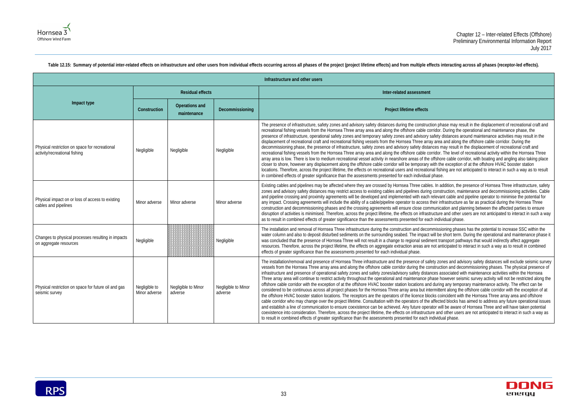ase may result in the displacement of recreational craft and During the operational and maintenance phase, the distances around maintenance activities may result in the and along the offshore cable corridor. During the hay result in the displacement of recreational craft and The level of recreational activity within the Hornsea Three re cable corridor, with boating and angling also taking place exception of at the offshore HVAC booster station ling are not anticipated to interact in such a way as to result

ddition, the presence of Hornsea Three infrastructure, safety ruction, maintenance and decommissioning activities. Cable nt cable and pipeline operator to minimise the potential for rastructure as far as practical during the Hornsea Three ation and planning between the affected parties to ensure e and other users are not anticipated to interact in such a way<br>ridual phase.

oning phases has the potential to increase SSC within the short term. During the operational and maintenance phase it insport pathways that would indirectly affect aggregate ticipated to interact in such a way as to result in combined

nes and advisory safety distances will exclude seismic survey ion and decommissioning phases. The physical presence of ssociated with maintenance activities within the Hornsea bwever seismic survey activity will not be restricted along the any temporary maintenance activity. The effect can be nt along the offshore cable corridor with the exception of at incident with the Hornsea Three array area and offshore ed blocks has aimed to address any future operational issues I be aware of Hornsea Three and will have taken potential other users are not anticipated to interact in such a way as



<span id="page-37-0"></span>

|                                                                                 |                                |                                | Infrastructure and other users |                                                                                                                                                                                                                                                                                                                                                                                                                                                                                                                                                                                                                                                                                                                                                                                                                                                                                                                                                                                                                                                                                                                                                                                                                                                                                                                                       |  |
|---------------------------------------------------------------------------------|--------------------------------|--------------------------------|--------------------------------|---------------------------------------------------------------------------------------------------------------------------------------------------------------------------------------------------------------------------------------------------------------------------------------------------------------------------------------------------------------------------------------------------------------------------------------------------------------------------------------------------------------------------------------------------------------------------------------------------------------------------------------------------------------------------------------------------------------------------------------------------------------------------------------------------------------------------------------------------------------------------------------------------------------------------------------------------------------------------------------------------------------------------------------------------------------------------------------------------------------------------------------------------------------------------------------------------------------------------------------------------------------------------------------------------------------------------------------|--|
|                                                                                 | <b>Residual effects</b>        |                                |                                | Inter-related assessment                                                                                                                                                                                                                                                                                                                                                                                                                                                                                                                                                                                                                                                                                                                                                                                                                                                                                                                                                                                                                                                                                                                                                                                                                                                                                                              |  |
| Impact type                                                                     | Construction                   | Operations and<br>maintenance  | Decommissioning                | Project lifetime effects                                                                                                                                                                                                                                                                                                                                                                                                                                                                                                                                                                                                                                                                                                                                                                                                                                                                                                                                                                                                                                                                                                                                                                                                                                                                                                              |  |
| Physical restriction on space for recreational<br>activity/recreational fishing | Negligible                     | Negligible                     | Negligible                     | The presence of infrastructure, safety zones and advisory safety distances during the construction phase may res<br>recreational fishing vessels from the Hornsea Three array area and along the offshore cable corridor. During the c<br>presence of infrastructure, operational safety zones and temporary safety zones and advisory safety distances are<br>displacement of recreational craft and recreational fishing vessels from the Hornsea Three array area and along tl<br>decommissioning phase, the presence of infrastructure, safety zones and advisory safety distances may result in<br>recreational fishing vessels from the Hornsea Three array area and along the offshore cable corridor. The level of<br>array area is low. There is low to medium recreational vessel activity in nearshore areas of the offshore cable corr<br>closer to shore, however any displacement along the offshore cable corridor will be temporary with the exception<br>locations. Therefore, across the project lifetime, the effects on recreational users and recreational fishing are not a<br>in combined effects of greater significance than the assessments presented for each individual phase.                                                                                                                            |  |
| Physical impact on or loss of access to existing<br>cables and pipelines        | Minor adverse                  | Minor adverse                  | Minor adverse                  | Existing cables and pipelines may be affected where they are crossed by Hornsea Three cables. In addition, the p<br>zones and advisory safety distances may restrict access to existing cables and pipelines during construction, mair<br>and pipeline crossing and proximity agreements will be developed and implemented with each relevant cable and<br>any impact. Crossing agreements will include the ability of a cable/pipeline operator to access their infrastructure<br>construction and decommissioning phases and the crossing agreements will ensure close communication and pla<br>disruption of activities is minimised. Therefore, across the project lifetime, the effects on infrastructure and other u<br>as to result in combined effects of greater significance than the assessments presented for each individual phase.                                                                                                                                                                                                                                                                                                                                                                                                                                                                                      |  |
| Changes to physical processes resulting in impacts<br>on aggregate resources    | Negligible                     |                                | Negligible                     | The installation and removal of Hornsea Three infrastructure during the construction and decommissioning phase<br>water column and also to deposit disturbed sediments on the surrounding seabed. The impact will be short term. I<br>was concluded that the presence of Hornsea Three will not result in a change to regional sediment transport path<br>resources. Therefore, across the project lifetime, the effects on aggregate extraction areas are not anticipated to i<br>effects of greater significance than the assessments presented for each individual phase.                                                                                                                                                                                                                                                                                                                                                                                                                                                                                                                                                                                                                                                                                                                                                          |  |
| Physical restriction on space for future oil and gas<br>seismic survey          | Negligible to<br>Minor adverse | Negligible to Minor<br>adverse | Negligible to Minor<br>adverse | The installation/removal and presence of Hornsea Three infrastructure and the presence of safety zones and advi<br>vessels from the Hornsea Three array area and along the offshore cable corridor during the construction and deco<br>infrastructure and presence of operational safety zones and safety zones/advisory safety distances associated wit<br>Three array area will continue to restrict activity throughout the operational and maintenance phase however seisr<br>offshore cable corridor with the exception of at the offshore HVAC booster station locations and during any tempo<br>considered to be continuous across all project phases for the Hornsea Three array area but intermittent along the<br>the offshore HVAC booster station locations. The receptors are the operators of the licence blocks coincident with<br>cable corridor who may change over the project lifetime. Consultation with the operators of the affected blocks has<br>and establish a line of communication to ensure coexistence can be achieved. Any future operator will be aware c<br>coexistence into consideration. Therefore, across the project lifetime, the effects on infrastructure and other users<br>to result in combined effects of greater significance than the assessments presented for each individual phase. |  |

Table 12.15: Summary of potential inter-related effects on infrastructure and other users from individual effects occurring across all phases of the project (project lifetime effects) and from multiple effects interacting

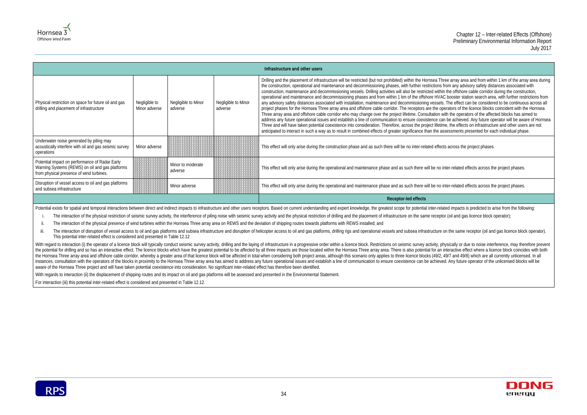ree array area and from within 1 km of the array area during from any advisory safety distances associated with in the offshore cable corridor during the construction, C booster station search area, with further restrictions from . The effect can be considered to be continuous across all perators of the licence blocks coincident with the Hornsea with the operators of the affected blocks has aimed to an be achieved. Any future operator will be aware of Hornsea me, the effects on infrastructure and other users are not ssessments presented for each individual phase.





| Infrastructure and other users                                                                                                                |                                |                                |                                |                                                                                                                                                                                                                                                                                                                                                                                                                                                                                                                                                                                                                                                                                                                                                                                                                                                                                                                                                                                                                                                                                                                                                                                                                                                                                                                                                                                                                                                                                                                                                                             |
|-----------------------------------------------------------------------------------------------------------------------------------------------|--------------------------------|--------------------------------|--------------------------------|-----------------------------------------------------------------------------------------------------------------------------------------------------------------------------------------------------------------------------------------------------------------------------------------------------------------------------------------------------------------------------------------------------------------------------------------------------------------------------------------------------------------------------------------------------------------------------------------------------------------------------------------------------------------------------------------------------------------------------------------------------------------------------------------------------------------------------------------------------------------------------------------------------------------------------------------------------------------------------------------------------------------------------------------------------------------------------------------------------------------------------------------------------------------------------------------------------------------------------------------------------------------------------------------------------------------------------------------------------------------------------------------------------------------------------------------------------------------------------------------------------------------------------------------------------------------------------|
| Physical restriction on space for future oil and gas<br>drilling and placement of infrastructure                                              | Negligible to<br>Minor adverse | Negligible to Minor<br>adverse | Negligible to Minor<br>adverse | Drilling and the placement of infrastructure will be restricted (but not prohibited) within the Hornsea Three array area and from within 1 km of the arr<br>the construction, operational and maintenance and decommissioning phases, with further restrictions from any advisory safety distances associated<br>construction, maintenance and decommissioning vessels. Drilling activities will also be restricted within the offshore cable corridor during the constr<br>operational and maintenance and decommissioning phases and from within 1 km of the offshore HVAC booster station search area, with further res<br>any advisory safety distances associated with installation, maintenance and decommissioning vessels. The effect can be considered to be continuo<br>project phases for the Hornsea Three array area and offshore cable corridor. The receptors are the operators of the licence blocks coincident with the<br>Three array area and offshore cable corridor who may change over the project lifetime. Consultation with the operators of the affected blocks has ai<br>address any future operational issues and establish a line of communication to ensure coexistence can be achieved. Any future operator will be away<br>Three and will have taken potential coexistence into consideration. Therefore, across the project lifetime, the effects on infrastructure and other use<br>anticipated to interact in such a way as to result in combined effects of greater significance than the assessments presented for each individual pha |
| Underwater noise generated by piling may<br>acoustically interfere with oil and gas seismic survey<br>operations                              | Minor adverse                  |                                |                                | This effect will only arise during the construction phase and as such there will be no inter-related effects across the project phases.                                                                                                                                                                                                                                                                                                                                                                                                                                                                                                                                                                                                                                                                                                                                                                                                                                                                                                                                                                                                                                                                                                                                                                                                                                                                                                                                                                                                                                     |
| Potential impact on performance of Radar Early<br>Warning Systems (REWS) on oil and gas platforms<br>from physical presence of wind turbines. |                                | Minor to moderate<br>adverse   |                                | This effect will only arise during the operational and maintenance phase and as such there will be no inter-related effects across the project phases.                                                                                                                                                                                                                                                                                                                                                                                                                                                                                                                                                                                                                                                                                                                                                                                                                                                                                                                                                                                                                                                                                                                                                                                                                                                                                                                                                                                                                      |
| Disruption of vessel access to oil and gas platforms<br>and subsea infrastructure                                                             |                                | Minor adverse                  |                                | This effect will only arise during the operational and maintenance phase and as such there will be no inter-related effects across the project phases.                                                                                                                                                                                                                                                                                                                                                                                                                                                                                                                                                                                                                                                                                                                                                                                                                                                                                                                                                                                                                                                                                                                                                                                                                                                                                                                                                                                                                      |
|                                                                                                                                               |                                |                                |                                | Receptor-led effects                                                                                                                                                                                                                                                                                                                                                                                                                                                                                                                                                                                                                                                                                                                                                                                                                                                                                                                                                                                                                                                                                                                                                                                                                                                                                                                                                                                                                                                                                                                                                        |

Potential exists for spatial and temporal interactions between direct and indirect impacts to infrastructure and other users receptors. Based on current understanding and expert knowledge, the greatest scope for potential

i. The interaction of the physical restriction of seismic survey activity, the interference of piling noise with seismic survey activity and the physical restriction of drilling and the placement of infrastructure on the s

ii. The interaction of the physical presence of wind turbines within the Hornsea Three array area on REWS and the deviation of shipping routes towards platforms with REWS installed; and

iii. The interaction of disruption of vessel access to oil and gas platforms and subsea infrastructure and disruption of helicopter access to oil and gas platforms, drilling rigs and operational vessels and subsea infrastr This potential inter-related effect is considered and presented i[n Table 12.12](#page-30-0)

With regard to interaction (i) the operator of a licence block will typically conduct seismic survey activity, drilling and the laying of infrastructure in a progressive order within a licence block. Restrictions on seismi the potential for drilling and so has an interactive effect. The licence blocks which have the greatest potential to be affected by all three impacts are those located within the Hornsea Three array area. There is also pot the Hornsea Three array area and offshore cable corridor, whereby a greater area of that licence block will be affected in total when considering both project areas, although this scenario only applies to three licence blo instances, consultation with the operators of the blocks in proximity to the Hornsea Three array area has aimed to address any future operational issues and establish a line of communication to ensure coexistence can be ac aware of the Hornsea Three project and will have taken potential coexistence into consideration. No significant inter-related effect has therefore been identified.

With regards to interaction (ii) the displacement of shipping routes and its impact on oil and gas platforms will be assessed and presented in the Environmental Statement.

For interaction (iii) this potential inter-related effect is considered and presented i[n Table 12.12.](#page-30-0)

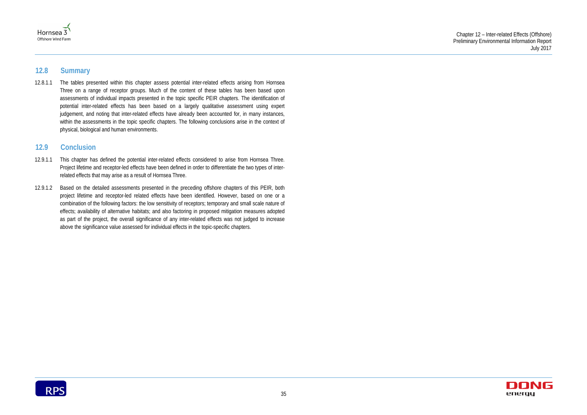



# <span id="page-39-0"></span>**12.8 Summary**

12.8.1.1 The tables presented within this chapter assess potential inter-related effects arising from Hornsea Three on a range of receptor groups. Much of the content of these tables has been based upon assessments of individual impacts presented in the topic specific PEIR chapters. The identification of potential inter-related effects has been based on a largely qualitative assessment using expert judgement, and noting that inter-related effects have already been accounted for, in many instances, within the assessments in the topic specific chapters. The following conclusions arise in the context of physical, biological and human environments.

# <span id="page-39-1"></span>**12.9 Conclusion**

- 12.9.1.1 This chapter has defined the potential inter-related effects considered to arise from Hornsea Three. Project lifetime and receptor-led effects have been defined in order to differentiate the two types of interrelated effects that may arise as a result of Hornsea Three.
- 12.9.1.2 Based on the detailed assessments presented in the preceding offshore chapters of this PEIR, both project lifetime and receptor-led related effects have been identified. However, based on one or a combination of the following factors: the low sensitivity of receptors; temporary and small scale nature of effects; availability of alternative habitats; and also factoring in proposed mitigation measures adopted as part of the project, the overall significance of any inter-related effects was not judged to increase above the significance value assessed for individual effects in the topic-specific chapters.